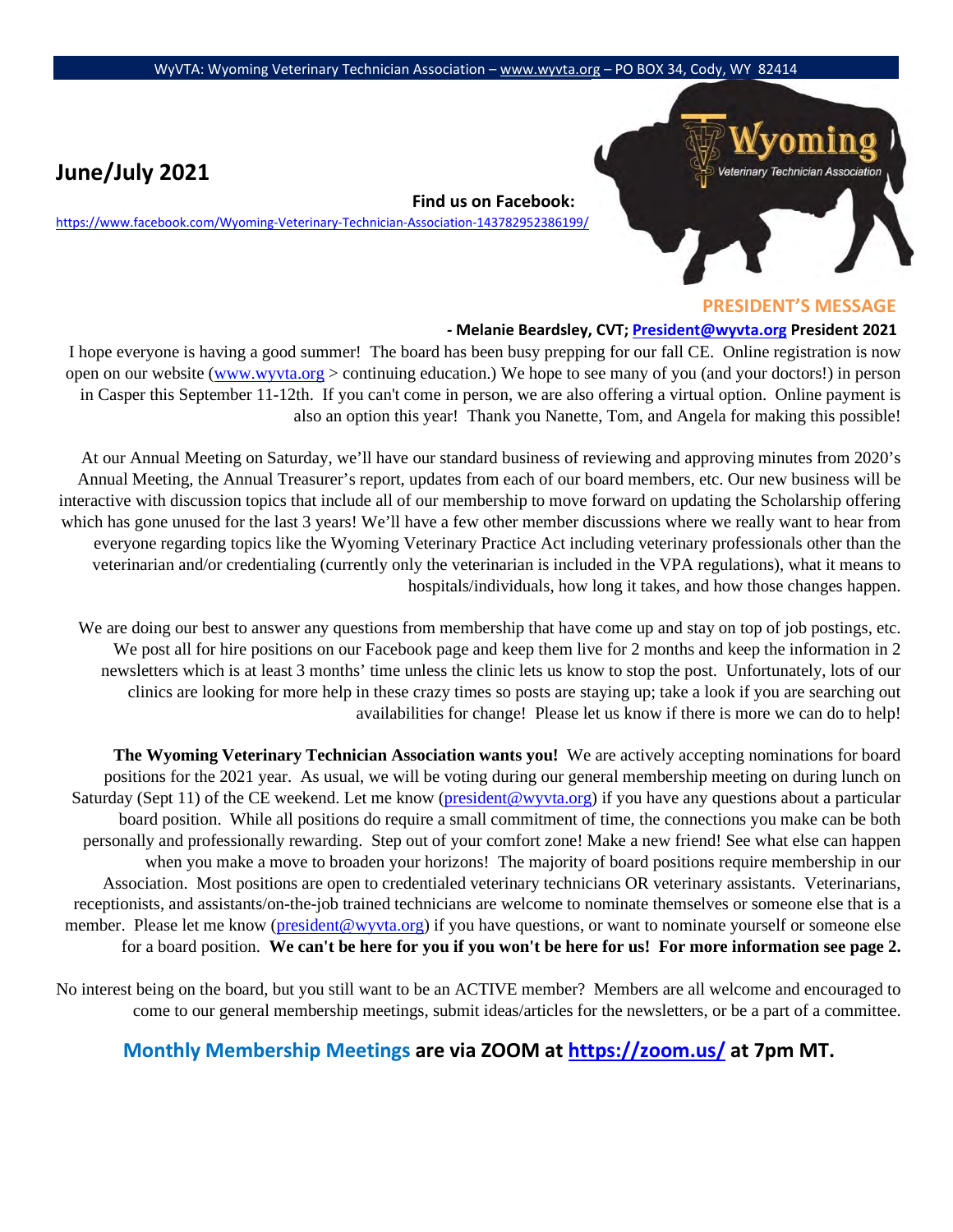## **June/July 2021**

**Find us on Facebook:** 

<https://www.facebook.com/Wyoming-Veterinary-Technician-Association-143782952386199/>



## **PRESIDENT'S MESSAGE**

## **- Melanie Beardsley, CVT; President@wyvta.org President 2021**

I hope everyone is having a good summer! The board has been busy prepping for our fall CE. Online registration is now open on our website [\(www.wyvta.org](http://www.wyvta.org/) > continuing education.) We hope to see many of you (and your doctors!) in person in Casper this September 11-12th. If you can't come in person, we are also offering a virtual option. Online payment is also an option this year! Thank you Nanette, Tom, and Angela for making this possible!

At our Annual Meeting on Saturday, we'll have our standard business of reviewing and approving minutes from 2020's Annual Meeting, the Annual Treasurer's report, updates from each of our board members, etc. Our new business will be interactive with discussion topics that include all of our membership to move forward on updating the Scholarship offering which has gone unused for the last 3 years! We'll have a few other member discussions where we really want to hear from everyone regarding topics like the Wyoming Veterinary Practice Act including veterinary professionals other than the veterinarian and/or credentialing (currently only the veterinarian is included in the VPA regulations), what it means to hospitals/individuals, how long it takes, and how those changes happen.

We are doing our best to answer any questions from membership that have come up and stay on top of job postings, etc. We post all for hire positions on our Facebook page and keep them live for 2 months and keep the information in 2 newsletters which is at least 3 months' time unless the clinic lets us know to stop the post. Unfortunately, lots of our clinics are looking for more help in these crazy times so posts are staying up; take a look if you are searching out availabilities for change! Please let us know if there is more we can do to help!

**The Wyoming Veterinary Technician Association wants you!** We are actively accepting nominations for board positions for the 2021 year. As usual, we will be voting during our general membership meeting on during lunch on Saturday (Sept 11) of the CE weekend. Let me know [\(president@wyvta.org\)](mailto:president@wyvta.org) if you have any questions about a particular board position. While all positions do require a small commitment of time, the connections you make can be both personally and professionally rewarding. Step out of your comfort zone! Make a new friend! See what else can happen when you make a move to broaden your horizons! The majority of board positions require membership in our Association. Most positions are open to credentialed veterinary technicians OR veterinary assistants. Veterinarians, receptionists, and assistants/on-the-job trained technicians are welcome to nominate themselves or someone else that is a member. Please let me know [\(president@wyvta.org\)](mailto:president@wyvta.org) if you have questions, or want to nominate yourself or someone else for a board position. **We can't be here for you if you won't be here for us! For more information see page 2.**

No interest being on the board, but you still want to be an ACTIVE member? Members are all welcome and encouraged to come to our general membership meetings, submit ideas/articles for the newsletters, or be a part of a committee.

## **Monthly Membership Meetings are via ZOOM [at https://zoom.us/](https://zoom.us/) [a](https://zoom.us/)t 7pm MT.**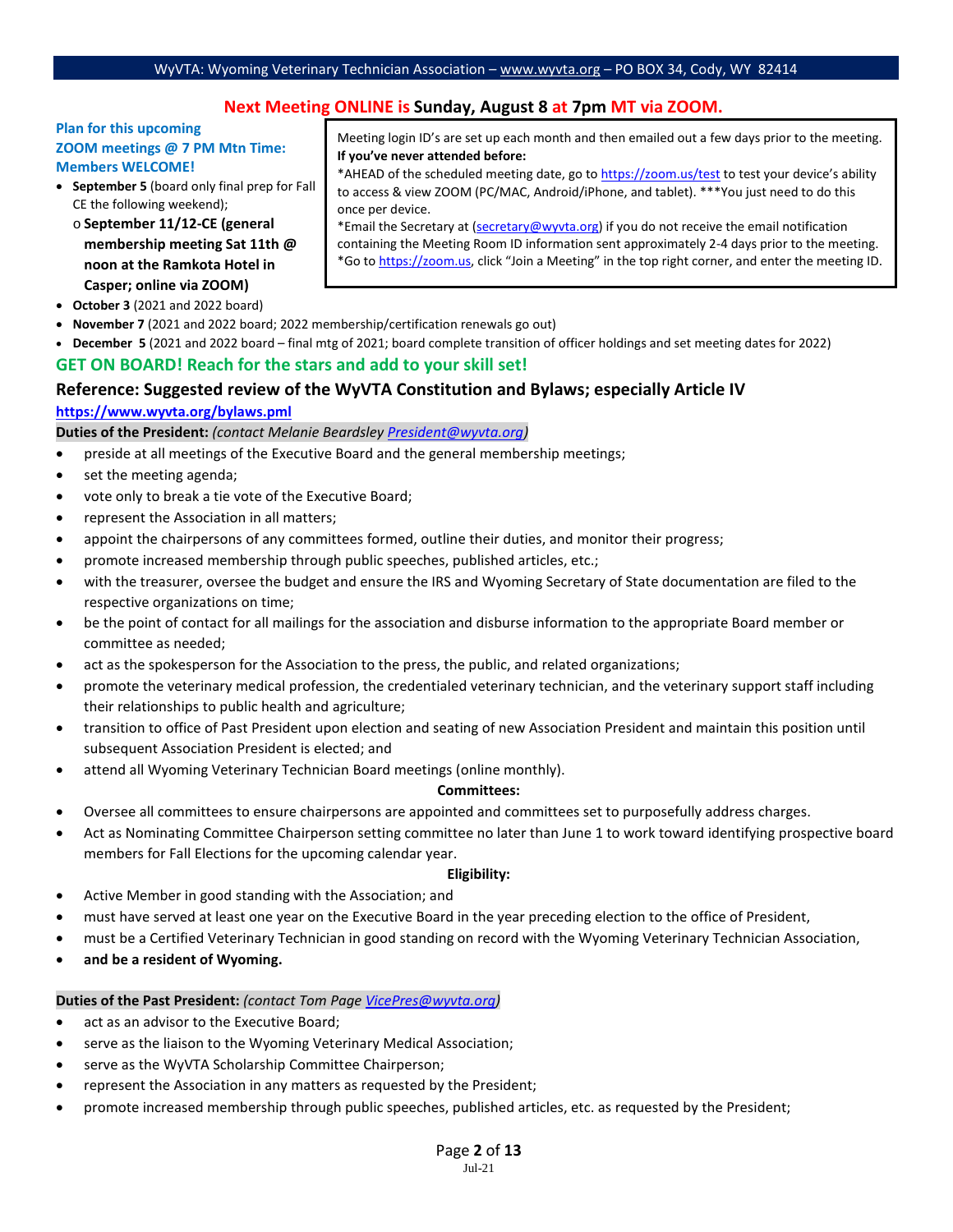## **Next Meeting ONLINE is Sunday, August 8 at 7pm MT via ZOOM.**

### **Plan for this upcoming ZOOM meetings @ 7 PM Mtn Time: Members WELCOME!**

• **September 5** (board only final prep for Fall CE the following weekend);

o **September 11/12-CE (general membership meeting Sat 11th @ noon at the Ramkota Hotel in Casper; online via ZOOM)**

- **October 3** (2021 and 2022 board)
- **November 7** (2021 and 2022 board; 2022 membership/certification renewals go out)
- **December 5** (2021 and 2022 board final mtg of 2021; board complete transition of officer holdings and set meeting dates for 2022)

## **GET ON BOARD! Reach for the stars and add to your skill set!**

## **Reference: Suggested review of the WyVTA Constitution and Bylaws; especially Article IV**

### **<https://www.wyvta.org/bylaws.pml>**

**Duties of the President:** *(contact Melanie Beardsley [President@wyvta.org\)](mailto:President@wyvta.org)* 

- preside at all meetings of the Executive Board and the general membership meetings;
- set the meeting agenda;
- vote only to break a tie vote of the Executive Board;
- represent the Association in all matters;
- appoint the chairpersons of any committees formed, outline their duties, and monitor their progress;
- promote increased membership through public speeches, published articles, etc.;
- with the treasurer, oversee the budget and ensure the IRS and Wyoming Secretary of State documentation are filed to the respective organizations on time;
- be the point of contact for all mailings for the association and disburse information to the appropriate Board member or committee as needed;
- act as the spokesperson for the Association to the press, the public, and related organizations;
- promote the veterinary medical profession, the credentialed veterinary technician, and the veterinary support staff including their relationships to public health and agriculture;
- transition to office of Past President upon election and seating of new Association President and maintain this position until subsequent Association President is elected; and
- attend all Wyoming Veterinary Technician Board meetings (online monthly).

#### **Committees:**

- Oversee all committees to ensure chairpersons are appointed and committees set to purposefully address charges.
- Act as Nominating Committee Chairperson setting committee no later than June 1 to work toward identifying prospective board members for Fall Elections for the upcoming calendar year.

### **Eligibility:**

- Active Member in good standing with the Association; and
- must have served at least one year on the Executive Board in the year preceding election to the office of President,
- must be a Certified Veterinary Technician in good standing on record with the Wyoming Veterinary Technician Association,
- **and be a resident of Wyoming.**

#### **Duties of the Past President:** *(contact Tom Page [VicePres@wyvta.org\)](mailto:VicePres@wyvta.org)*

- act as an advisor to the Executive Board;
- serve as the liaison to the Wyoming Veterinary Medical Association;
- serve as the WyVTA Scholarship Committee Chairperson;
- represent the Association in any matters as requested by the President;
- promote increased membership through public speeches, published articles, etc. as requested by the President;

Meeting login ID's are set up each month and then emailed out a few days prior to the meeting. **If you've never attended before:** 

\*AHEAD of the scheduled meeting date, go [to https://zoom.us/test](https://zoom.us/test) [to](https://zoom.us/test) test your device's ability to access & view ZOOM (PC/MAC, Android/iPhone, and tablet). \*\*\*You just need to do this once per device.

\*Email the Secretary at (secretary@wyvta.org) if you do not receive the email notification containing the Meeting Room ID information sent approximately 2-4 days prior to the meeting. \*Go [to https://zoom.us,](https://zoom.us/) click "Join a Meeting" in the top right corner, and enter the meeting ID.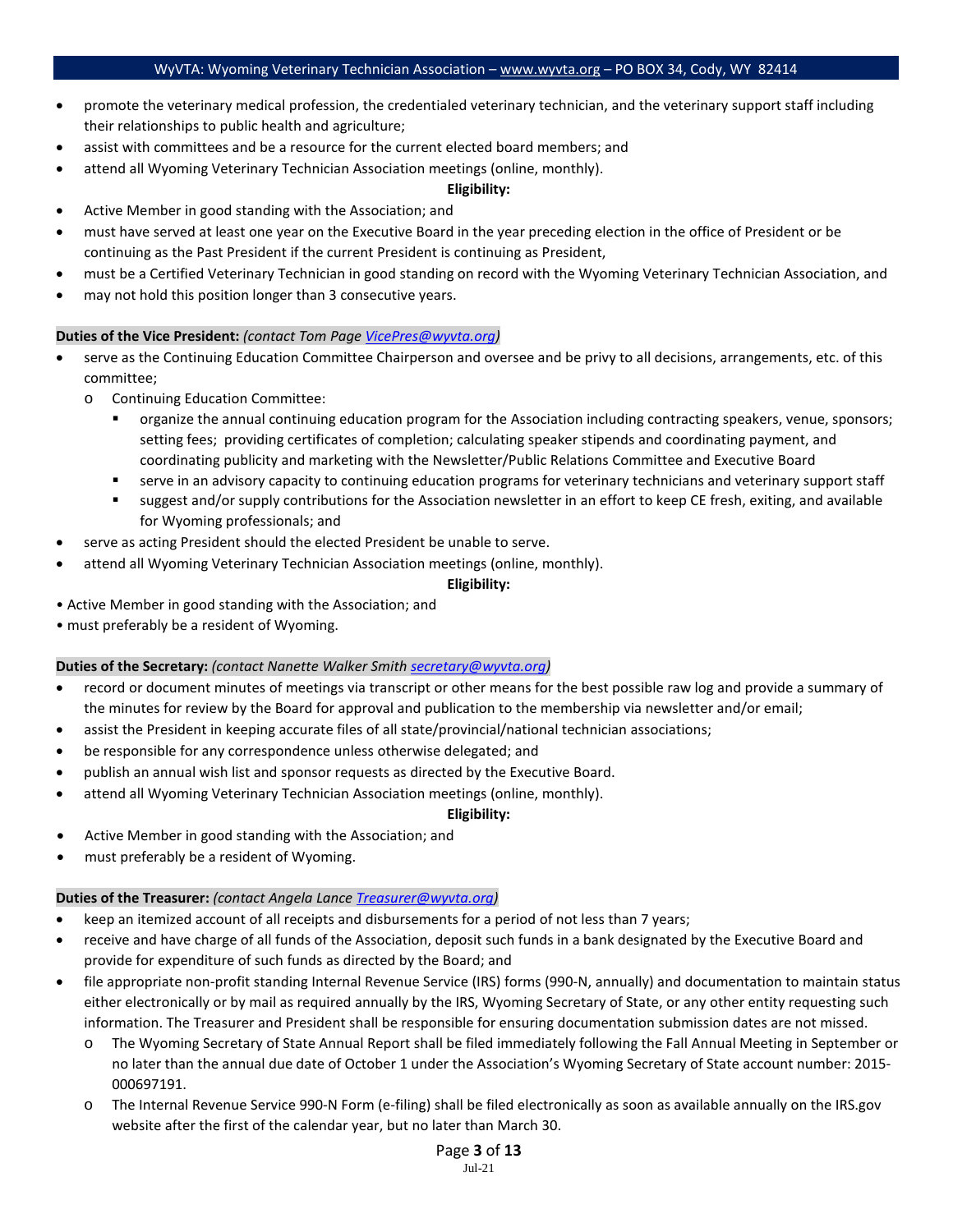- promote the veterinary medical profession, the credentialed veterinary technician, and the veterinary support staff including their relationships to public health and agriculture;
- assist with committees and be a resource for the current elected board members; and
- attend all Wyoming Veterinary Technician Association meetings (online, monthly).

#### **Eligibility:**

- Active Member in good standing with the Association; and
- must have served at least one year on the Executive Board in the year preceding election in the office of President or be continuing as the Past President if the current President is continuing as President,
- must be a Certified Veterinary Technician in good standing on record with the Wyoming Veterinary Technician Association, and
- may not hold this position longer than 3 consecutive years.

#### **Duties of the Vice President:** *(contact Tom Pag[e VicePres@wyvta.org\)](mailto:VicePres@wyvta.org)*

- serve as the Continuing Education Committee Chairperson and oversee and be privy to all decisions, arrangements, etc. of this committee;
	- o Continuing Education Committee:
		- organize the annual continuing education program for the Association including contracting speakers, venue, sponsors; setting fees; providing certificates of completion; calculating speaker stipends and coordinating payment, and coordinating publicity and marketing with the Newsletter/Public Relations Committee and Executive Board
		- serve in an advisory capacity to continuing education programs for veterinary technicians and veterinary support staff
		- suggest and/or supply contributions for the Association newsletter in an effort to keep CE fresh, exiting, and available for Wyoming professionals; and
- serve as acting President should the elected President be unable to serve.
- attend all Wyoming Veterinary Technician Association meetings (online, monthly).

### **Eligibility:**

- Active Member in good standing with the Association; and
- must preferably be a resident of Wyoming.

### **Duties of the Secretary:** *(contact Nanette Walker Smith [secretary@wyvta.org\)](mailto:secretary@wyvta.org)*

- record or document minutes of meetings via transcript or other means for the best possible raw log and provide a summary of the minutes for review by the Board for approval and publication to the membership via newsletter and/or email;
- assist the President in keeping accurate files of all state/provincial/national technician associations;
- be responsible for any correspondence unless otherwise delegated; and
- publish an annual wish list and sponsor requests as directed by the Executive Board.
	- attend all Wyoming Veterinary Technician Association meetings (online, monthly).

#### **Eligibility:**

- Active Member in good standing with the Association; and
- must preferably be a resident of Wyoming.

#### **Duties of the Treasurer:** *(contact Angela Lance [Treasurer@wyvta.org\)](mailto:Treasurer@wyvta.org)*

- keep an itemized account of all receipts and disbursements for a period of not less than 7 years;
- receive and have charge of all funds of the Association, deposit such funds in a bank designated by the Executive Board and provide for expenditure of such funds as directed by the Board; and
- file appropriate non-profit standing Internal Revenue Service (IRS) forms (990-N, annually) and documentation to maintain status either electronically or by mail as required annually by the IRS, Wyoming Secretary of State, or any other entity requesting such information. The Treasurer and President shall be responsible for ensuring documentation submission dates are not missed.
	- o The Wyoming Secretary of State Annual Report shall be filed immediately following the Fall Annual Meeting in September or no later than the annual due date of October 1 under the Association's Wyoming Secretary of State account number: 2015- 000697191.
	- o The Internal Revenue Service 990-N Form (e-filing) shall be filed electronically as soon as available annually on the IRS.gov website after the first of the calendar year, but no later than March 30.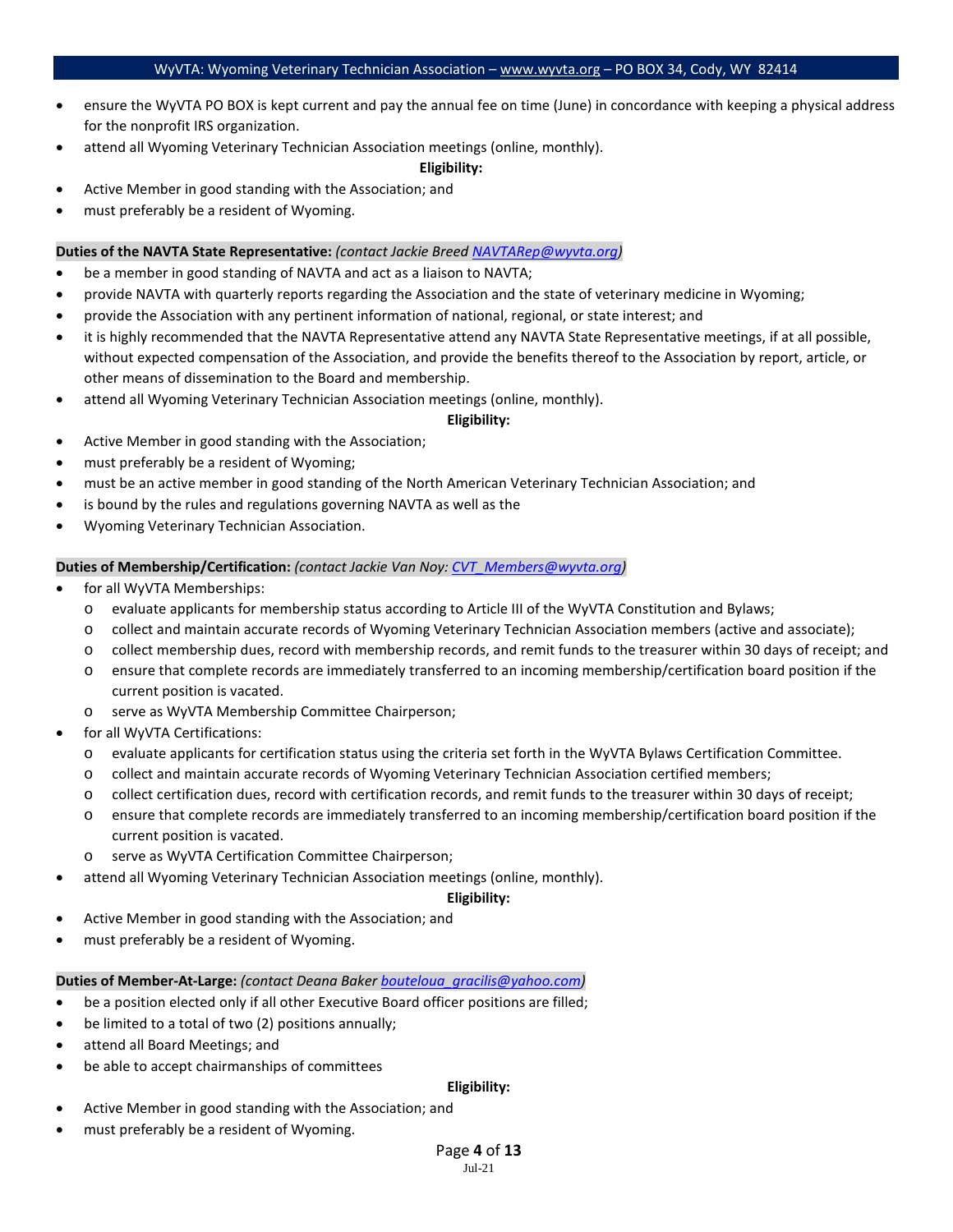- ensure the WyVTA PO BOX is kept current and pay the annual fee on time (June) in concordance with keeping a physical address for the nonprofit IRS organization.
- attend all Wyoming Veterinary Technician Association meetings (online, monthly).

#### **Eligibility:**

- Active Member in good standing with the Association; and
- must preferably be a resident of Wyoming.

### **Duties of the NAVTA State Representative:** *(contact Jackie Bree[d NAVTARep@wyvta.org\)](mailto:NAVTARep@wyvta.org)*

- be a member in good standing of NAVTA and act as a liaison to NAVTA;
- provide NAVTA with quarterly reports regarding the Association and the state of veterinary medicine in Wyoming;
- provide the Association with any pertinent information of national, regional, or state interest; and
- it is highly recommended that the NAVTA Representative attend any NAVTA State Representative meetings, if at all possible, without expected compensation of the Association, and provide the benefits thereof to the Association by report, article, or other means of dissemination to the Board and membership.
- attend all Wyoming Veterinary Technician Association meetings (online, monthly).

### **Eligibility:**

- Active Member in good standing with the Association;
- must preferably be a resident of Wyoming;
- must be an active member in good standing of the North American Veterinary Technician Association; and
- is bound by the rules and regulations governing NAVTA as well as the
- Wyoming Veterinary Technician Association.

### **Duties of Membership/Certification:** *(contact Jackie Van Noy[: CVT\\_Members@wyvta.org\)](mailto:CVT_Members@wyvta.org)*

- for all WyVTA Memberships:
	- o evaluate applicants for membership status according to Article III of the WyVTA Constitution and Bylaws;
	- o collect and maintain accurate records of Wyoming Veterinary Technician Association members (active and associate);
	- o collect membership dues, record with membership records, and remit funds to the treasurer within 30 days of receipt; and
	- o ensure that complete records are immediately transferred to an incoming membership/certification board position if the current position is vacated.
	- o serve as WyVTA Membership Committee Chairperson;
- for all WyVTA Certifications:
	- o evaluate applicants for certification status using the criteria set forth in the WyVTA Bylaws Certification Committee.
	- o collect and maintain accurate records of Wyoming Veterinary Technician Association certified members;
	- o collect certification dues, record with certification records, and remit funds to the treasurer within 30 days of receipt;
	- o ensure that complete records are immediately transferred to an incoming membership/certification board position if the current position is vacated.
	- o serve as WyVTA Certification Committee Chairperson;
- attend all Wyoming Veterinary Technician Association meetings (online, monthly).

## **Eligibility:**

- Active Member in good standing with the Association; and
- must preferably be a resident of Wyoming.

## **Duties of Member-At-Large:** *(contact Deana Bake[r bouteloua\\_gracilis@yahoo.com\)](mailto:bouteloua_gracilis@yahoo.com)*

- be a position elected only if all other Executive Board officer positions are filled;
- be limited to a total of two (2) positions annually;
- attend all Board Meetings; and
- be able to accept chairmanships of committees

### **Eligibility:**

- Active Member in good standing with the Association; and
- must preferably be a resident of Wyoming.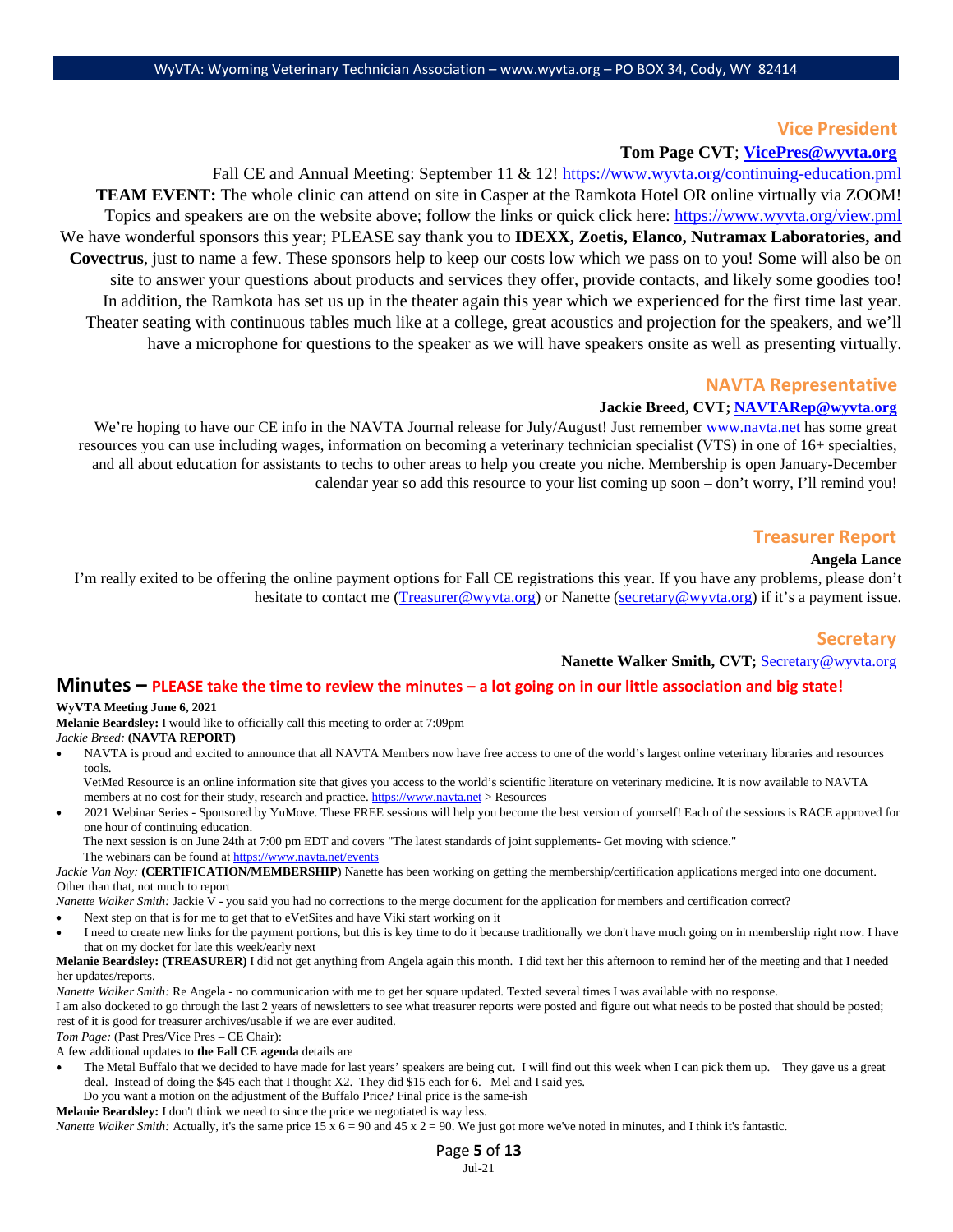### **Vice President**

## **Tom Page CVT**; **VicePres@wyvta.org**

Fall CE and Annual Meeting: September 11 & 12! https://www.wyvta.org/continuing-education.pml **TEAM EVENT:** The whole clinic can attend on site in Casper at the Ramkota Hotel OR online virtually via ZOOM! Topics and speakers are on the website above; follow the links or quick click here:<https://www.wyvta.org/view.pml> We have wonderful sponsors this year; PLEASE say thank you to **IDEXX, Zoetis, Elanco, Nutramax Laboratories, and Covectrus**, just to name a few. These sponsors help to keep our costs low which we pass on to you! Some will also be on site to answer your questions about products and services they offer, provide contacts, and likely some goodies too! In addition, the Ramkota has set us up in the theater again this year which we experienced for the first time last year. Theater seating with continuous tables much like at a college, great acoustics and projection for the speakers, and we'll have a microphone for questions to the speaker as we will have speakers onsite as well as presenting virtually.

### **NAVTA Representative**

#### **Jackie Breed, CVT; [NAVTARep@wyvta.org](mailto:NAVTARep@wyvta.org)**

We're hoping to have our CE info in the NAVTA Journal release for July/August! Just remember [www.navta.net](http://www.navta.net/) has some great resources you can use including wages, information on becoming a veterinary technician specialist (VTS) in one of 16+ specialties, and all about education for assistants to techs to other areas to help you create you niche. Membership is open January-December calendar year so add this resource to your list coming up soon – don't worry, I'll remind you!

### **Treasurer Report**

#### **Angela Lance**

I'm really exited to be offering the online payment options for Fall CE registrations this year. If you have any problems, please don't hesitate to contact me [\(Treasurer@wyvta.org\)](mailto:Treasurer@wyvta.org) or Nanette [\(secretary@wyvta.org\)](mailto:secretary@wyvta.org) if it's a payment issue.

### **Secretary**

#### **Nanette Walker Smith, CVT;** Secretary@wyvta.org

#### **Minutes – PLEASE take the time to review the minutes – a lot going on in our little association and big state!**

#### **WyVTA Meeting June 6, 2021**

**Melanie Beardsley:** I would like to officially call this meeting to order at 7:09pm

#### *Jackie Breed:* **(NAVTA REPORT)**

- NAVTA is proud and excited to announce that all NAVTA Members now have free access to one of the world's largest online veterinary libraries and resources tools.
	- VetMed Resource is an online information site that gives you access to the world's scientific literature on veterinary medicine. It is now available to NAVTA members at no cost for their study, research and practice[. https://www.navta.net](https://www.navta.net/) > Resources

• 2021 Webinar Series - Sponsored by YuMove. These FREE sessions will help you become the best version of yourself! Each of the sessions is RACE approved for one hour of continuing education.

The next session is on June 24th at 7:00 pm EDT and covers "The latest standards of joint supplements- Get moving with science." The webinars can be found at https://www.navta.net/events

*Jackie Van Noy:* (CERTIFICATION/MEMBERSHIP) Nanette has been working on getting the membership/certification applications merged into one document. Other than that, not much to report

*Nanette Walker Smith:* Jackie V - you said you had no corrections to the merge document for the application for members and certification correct?

- Next step on that is for me to get that to eVetSites and have Viki start working on it
- I need to create new links for the payment portions, but this is key time to do it because traditionally we don't have much going on in membership right now. I have that on my docket for late this week/early next

#### **Melanie Beardsley: (TREASURER)** I did not get anything from Angela again this month. I did text her this afternoon to remind her of the meeting and that I needed her updates/reports.

*Nanette Walker Smith:* Re Angela - no communication with me to get her square updated. Texted several times I was available with no response.

I am also docketed to go through the last 2 years of newsletters to see what treasurer reports were posted and figure out what needs to be posted that should be posted; rest of it is good for treasurer archives/usable if we are ever audited.

*Tom Page:* (Past Pres/Vice Pres – CE Chair):

A few additional updates to **the Fall CE agenda** details are

- The Metal Buffalo that we decided to have made for last years' speakers are being cut. I will find out this week when I can pick them up. They gave us a great deal. Instead of doing the \$45 each that I thought X2. They did \$15 each for 6. Mel and I said yes.
- Do you want a motion on the adjustment of the Buffalo Price? Final price is the same-ish **Melanie Beardsley:** I don't think we need to since the price we negotiated is way less.

*Nanette Walker Smith:* Actually, it's the same price 15 x 6 = 90 and 45 x 2 = 90. We just got more we've noted in minutes, and I think it's fantastic.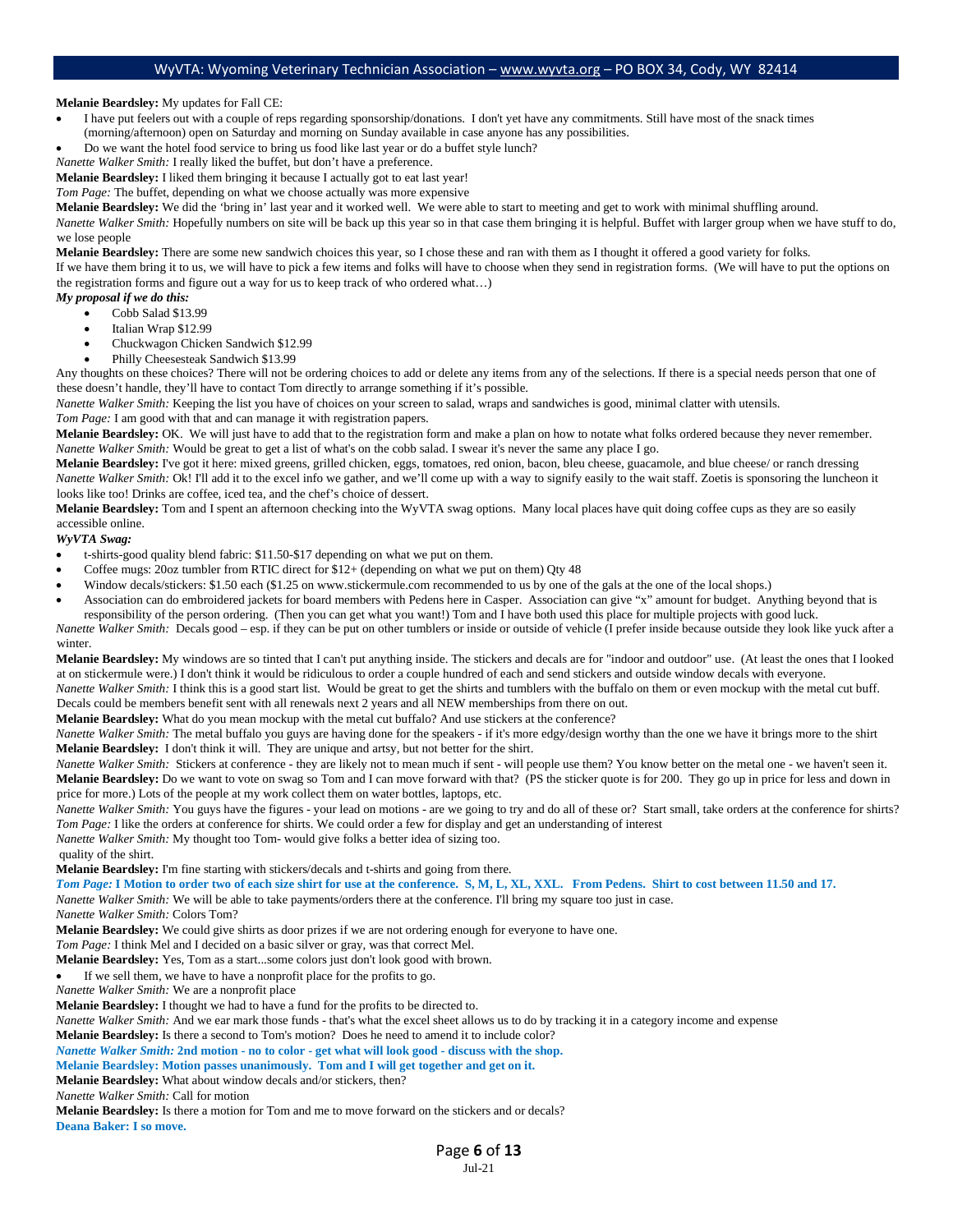#### **Melanie Beardsley:** My updates for Fall CE:

- I have put feelers out with a couple of reps regarding sponsorship/donations. I don't yet have any commitments. Still have most of the snack times (morning/afternoon) open on Saturday and morning on Sunday available in case anyone has any possibilities.
- Do we want the hotel food service to bring us food like last year or do a buffet style lunch?

*Nanette Walker Smith:* I really liked the buffet, but don't have a preference.

**Melanie Beardsley:** I liked them bringing it because I actually got to eat last year!

*Tom Page:* The buffet, depending on what we choose actually was more expensive

**Melanie Beardsley:** We did the 'bring in' last year and it worked well. We were able to start to meeting and get to work with minimal shuffling around. *Nanette Walker Smith:* Hopefully numbers on site will be back up this year so in that case them bringing it is helpful. Buffet with larger group when we have stuff to do, we lose people

**Melanie Beardsley:** There are some new sandwich choices this year, so I chose these and ran with them as I thought it offered a good variety for folks.

If we have them bring it to us, we will have to pick a few items and folks will have to choose when they send in registration forms. (We will have to put the options on the registration forms and figure out a way for us to keep track of who ordered what…)

#### *My proposal if we do this:*

- Cobb Salad \$13.99
- Italian Wrap \$12.99
- Chuckwagon Chicken Sandwich \$12.99
- Philly Cheesesteak Sandwich \$13.99

Any thoughts on these choices? There will not be ordering choices to add or delete any items from any of the selections. If there is a special needs person that one of these doesn't handle, they'll have to contact Tom directly to arrange something if it's possible.

*Nanette Walker Smith:* Keeping the list you have of choices on your screen to salad, wraps and sandwiches is good, minimal clatter with utensils.

*Tom Page:* I am good with that and can manage it with registration papers.

**Melanie Beardsley:** OK. We will just have to add that to the registration form and make a plan on how to notate what folks ordered because they never remember. *Nanette Walker Smith:* Would be great to get a list of what's on the cobb salad. I swear it's never the same any place I go.

Melanie Beardsley: I've got it here: mixed greens, grilled chicken, eggs, tomatoes, red onion, bacon, bleu cheese, guacamole, and blue cheese/ or ranch dressing *Nanette Walker Smith: Ok! I'll add it to the excel info we gather, and we'll come up with a way to signify easily to the wait staff. Zoetis is sponsoring the luncheon it* looks like too! Drinks are coffee, iced tea, and the chef's choice of dessert.

**Melanie Beardsley:** Tom and I spent an afternoon checking into the WyVTA swag options. Many local places have quit doing coffee cups as they are so easily accessible online.

#### *WyVTA Swag:*

- t-shirts-good quality blend fabric: \$11.50-\$17 depending on what we put on them.
- Coffee mugs: 20oz tumbler from RTIC direct for \$12+ (depending on what we put on them) Qty 48
- Window decals/stickers: \$1.50 each (\$1.25 on www.stickermule.com recommended to us by one of the gals at the one of the local shops.)
- Association can do embroidered jackets for board members with Pedens here in Casper. Association can give "x" amount for budget. Anything beyond that is responsibility of the person ordering. (Then you can get what you want!) Tom and I have both used this place for multiple projects with good luck.

*Nanette Walker Smith:* Decals good – esp. if they can be put on other tumblers or inside or outside of vehicle (I prefer inside because outside they look like yuck after a winter.

**Melanie Beardsley:** My windows are so tinted that I can't put anything inside. The stickers and decals are for "indoor and outdoor" use. (At least the ones that I looked at on stickermule were.) I don't think it would be ridiculous to order a couple hundred of each and send stickers and outside window decals with everyone.

*Nanette Walker Smith:* I think this is a good start list. Would be great to get the shirts and tumblers with the buffalo on them or even mockup with the metal cut buff. Decals could be members benefit sent with all renewals next 2 years and all NEW memberships from there on out.

**Melanie Beardsley:** What do you mean mockup with the metal cut buffalo? And use stickers at the conference?

*Nanette Walker Smith:* The metal buffalo you guys are having done for the speakers - if it's more edgy/design worthy than the one we have it brings more to the shirt **Melanie Beardsley:** I don't think it will. They are unique and artsy, but not better for the shirt.

*Nanette Walker Smith:* Stickers at conference - they are likely not to mean much if sent - will people use them? You know better on the metal one - we haven't seen it. Melanie Beardsley: Do we want to vote on swag so Tom and I can move forward with that? (PS the sticker quote is for 200. They go up in price for less and down in price for more.) Lots of the people at my work collect them on water bottles, laptops, etc.

*Nanette Walker Smith: You guys have the figures - your lead on motions - are we going to try and do all of these or? Start small, take orders at the conference for shirts? Tom Page:* I like the orders at conference for shirts. We could order a few for display and get an understanding of interest

*Nanette Walker Smith:* My thought too Tom- would give folks a better idea of sizing too.

quality of the shirt.

**Melanie Beardsley:** I'm fine starting with stickers/decals and t-shirts and going from there.

*Tom Page:* **I Motion to order two of each size shirt for use at the conference. S, M, L, XL, XXL. From Pedens. Shirt to cost between 11.50 and 17.** 

*Nanette Walker Smith:* We will be able to take payments/orders there at the conference. I'll bring my square too just in case.

*Nanette Walker Smith:* Colors Tom?

**Melanie Beardsley:** We could give shirts as door prizes if we are not ordering enough for everyone to have one.

*Tom Page:* I think Mel and I decided on a basic silver or gray, was that correct Mel.

**Melanie Beardsley:** Yes, Tom as a start...some colors just don't look good with brown.

If we sell them, we have to have a nonprofit place for the profits to go.

*Nanette Walker Smith:* We are a nonprofit place

**Melanie Beardsley:** I thought we had to have a fund for the profits to be directed to.

*Nanette Walker Smith:* And we ear mark those funds - that's what the excel sheet allows us to do by tracking it in a category income and expense

**Melanie Beardsley:** Is there a second to Tom's motion? Does he need to amend it to include color?

## *Nanette Walker Smith:* **2nd motion - no to color - get what will look good - discuss with the shop.**

## **Melanie Beardsley: Motion passes unanimously. Tom and I will get together and get on it.**

**Melanie Beardsley:** What about window decals and/or stickers, then?

*Nanette Walker Smith:* Call for motion

**Melanie Beardsley:** Is there a motion for Tom and me to move forward on the stickers and or decals? **Deana Baker: I so move.**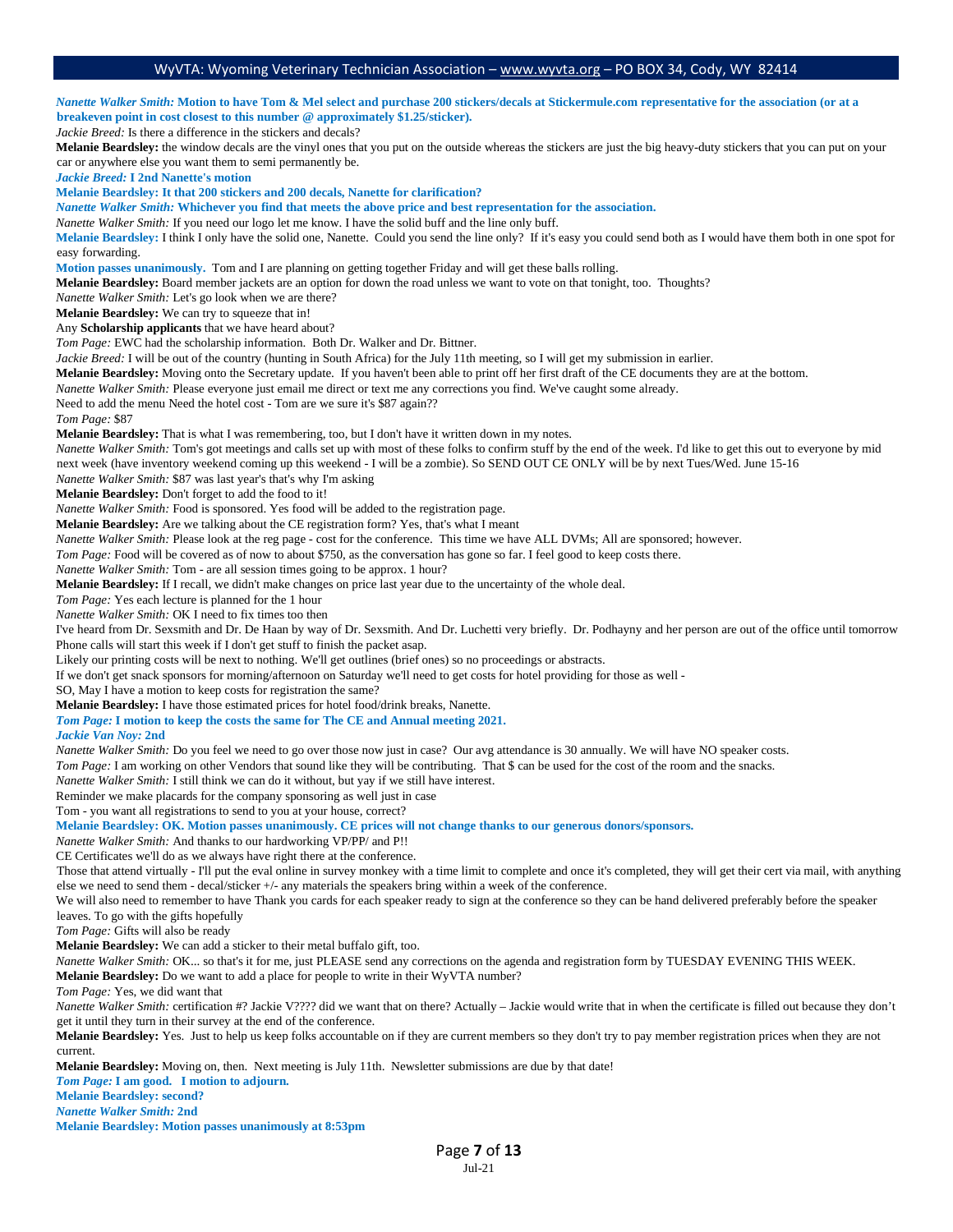*Nanette Walker Smith:* **Motion to have Tom & Mel select and purchase 200 stickers/decals at Stickermule.com representative for the association (or at a breakeven point in cost closest to this number @ approximately \$1.25/sticker).** *Jackie Breed:* Is there a difference in the stickers and decals? **Melanie Beardsley:** the window decals are the vinyl ones that you put on the outside whereas the stickers are just the big heavy-duty stickers that you can put on your car or anywhere else you want them to semi permanently be. *Jackie Breed:* **I 2nd Nanette's motion Melanie Beardsley: It that 200 stickers and 200 decals, Nanette for clarification?** *Nanette Walker Smith:* **Whichever you find that meets the above price and best representation for the association.** *Nanette Walker Smith:* If you need our logo let me know. I have the solid buff and the line only buff. **Melanie Beardsley:** I think I only have the solid one, Nanette. Could you send the line only? If it's easy you could send both as I would have them both in one spot for easy forwarding. **Motion passes unanimously.** Tom and I are planning on getting together Friday and will get these balls rolling. **Melanie Beardsley:** Board member jackets are an option for down the road unless we want to vote on that tonight, too. Thoughts? *Nanette Walker Smith:* Let's go look when we are there? **Melanie Beardsley:** We can try to squeeze that in! Any **Scholarship applicants** that we have heard about? *Tom Page:* EWC had the scholarship information. Both Dr. Walker and Dr. Bittner. *Jackie Breed:* I will be out of the country (hunting in South Africa) for the July 11th meeting, so I will get my submission in earlier. **Melanie Beardsley:** Moving onto the Secretary update. If you haven't been able to print off her first draft of the CE documents they are at the bottom. *Nanette Walker Smith:* Please everyone just email me direct or text me any corrections you find. We've caught some already. Need to add the menu Need the hotel cost - Tom are we sure it's \$87 again?? *Tom Page:* \$87 **Melanie Beardsley:** That is what I was remembering, too, but I don't have it written down in my notes. *Nanette Walker Smith:* Tom's got meetings and calls set up with most of these folks to confirm stuff by the end of the week. I'd like to get this out to everyone by mid next week (have inventory weekend coming up this weekend - I will be a zombie). So SEND OUT CE ONLY will be by next Tues/Wed. June 15-16 *Nanette Walker Smith:* \$87 was last year's that's why I'm asking **Melanie Beardsley:** Don't forget to add the food to it! *Nanette Walker Smith:* Food is sponsored. Yes food will be added to the registration page. **Melanie Beardsley:** Are we talking about the CE registration form? Yes, that's what I meant *Nanette Walker Smith:* Please look at the reg page - cost for the conference. This time we have ALL DVMs; All are sponsored; however. *Tom Page:* Food will be covered as of now to about \$750, as the conversation has gone so far. I feel good to keep costs there. *Nanette Walker Smith:* Tom - are all session times going to be approx. 1 hour? **Melanie Beardsley:** If I recall, we didn't make changes on price last year due to the uncertainty of the whole deal. *Tom Page:* Yes each lecture is planned for the 1 hour *Nanette Walker Smith:* OK I need to fix times too then I've heard from Dr. Sexsmith and Dr. De Haan by way of Dr. Sexsmith. And Dr. Luchetti very briefly. Dr. Podhayny and her person are out of the office until tomorrow Phone calls will start this week if I don't get stuff to finish the packet asap. Likely our printing costs will be next to nothing. We'll get outlines (brief ones) so no proceedings or abstracts. If we don't get snack sponsors for morning/afternoon on Saturday we'll need to get costs for hotel providing for those as well - SO, May I have a motion to keep costs for registration the same? **Melanie Beardsley:** I have those estimated prices for hotel food/drink breaks, Nanette. *Tom Page:* **I motion to keep the costs the same for The CE and Annual meeting 2021.** *Jackie Van Noy:* **2nd** *Nanette Walker Smith:* Do you feel we need to go over those now just in case? Our avg attendance is 30 annually. We will have NO speaker costs. *Tom Page:* I am working on other Vendors that sound like they will be contributing. That \$ can be used for the cost of the room and the snacks. *Nanette Walker Smith:* I still think we can do it without, but yay if we still have interest. Reminder we make placards for the company sponsoring as well just in case Tom - you want all registrations to send to you at your house, correct? **Melanie Beardsley: OK. Motion passes unanimously. CE prices will not change thanks to our generous donors/sponsors.** *Nanette Walker Smith:* And thanks to our hardworking VP/PP/ and P!! CE Certificates we'll do as we always have right there at the conference. Those that attend virtually - I'll put the eval online in survey monkey with a time limit to complete and once it's completed, they will get their cert via mail, with anything else we need to send them - decal/sticker +/- any materials the speakers bring within a week of the conference. We will also need to remember to have Thank you cards for each speaker ready to sign at the conference so they can be hand delivered preferably before the speaker leaves. To go with the gifts hopefully *Tom Page:* Gifts will also be ready **Melanie Beardsley:** We can add a sticker to their metal buffalo gift, too. *Nanette Walker Smith:* OK... so that's it for me, just PLEASE send any corrections on the agenda and registration form by TUESDAY EVENING THIS WEEK. **Melanie Beardsley:** Do we want to add a place for people to write in their WyVTA number? *Tom Page:* Yes, we did want that *Nanette Walker Smith:* certification #? Jackie V???? did we want that on there? Actually – Jackie would write that in when the certificate is filled out because they don't get it until they turn in their survey at the end of the conference. **Melanie Beardsley:** Yes. Just to help us keep folks accountable on if they are current members so they don't try to pay member registration prices when they are not current. **Melanie Beardsley:** Moving on, then. Next meeting is July 11th. Newsletter submissions are due by that date! *Tom Page:* **I am good. I motion to adjourn.**

**Melanie Beardsley: second?**

*Nanette Walker Smith:* **2nd Melanie Beardsley: Motion passes unanimously at 8:53pm**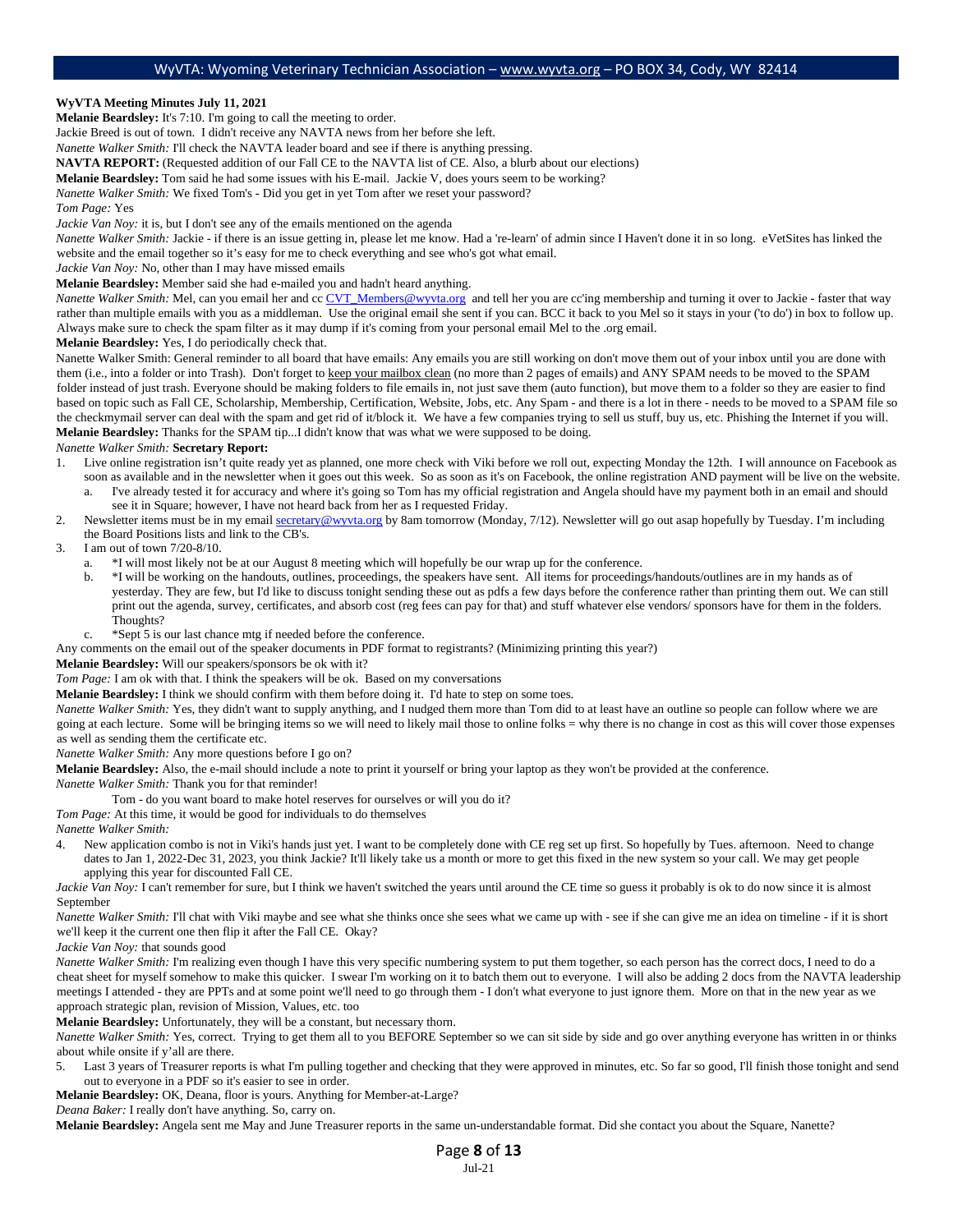#### **WyVTA Meeting Minutes July 11, 2021**

**Melanie Beardsley:** It's 7:10. I'm going to call the meeting to order.

Jackie Breed is out of town. I didn't receive any NAVTA news from her before she left.

*Nanette Walker Smith:* I'll check the NAVTA leader board and see if there is anything pressing.

**NAVTA REPORT:** (Requested addition of our Fall CE to the NAVTA list of CE. Also, a blurb about our elections)

**Melanie Beardsley:** Tom said he had some issues with his E-mail. Jackie V, does yours seem to be working?

*Nanette Walker Smith:* We fixed Tom's - Did you get in yet Tom after we reset your password?

*Tom Page:* Yes

*Jackie Van Noy:* it is, but I don't see any of the emails mentioned on the agenda

*Nanette Walker Smith:* Jackie - if there is an issue getting in, please let me know. Had a 're-learn' of admin since I Haven't done it in so long. eVetSites has linked the website and the email together so it's easy for me to check everything and see who's got what email.

*Jackie Van Noy:* No, other than I may have missed emails

**Melanie Beardsley:** Member said she had e-mailed you and hadn't heard anything.

*Nanette Walker Smith:* Mel, can you email her and c[c CVT\\_Members@wyvta.org](mailto:CVT_Members@wyvta.org) and tell her you are cc'ing membership and turning it over to Jackie - faster that way rather than multiple emails with you as a middleman. Use the original email she sent if you can. BCC it back to you Mel so it stays in your ('to do') in box to follow up. Always make sure to check the spam filter as it may dump if it's coming from your personal email Mel to the .org email.

**Melanie Beardsley:** Yes, I do periodically check that.

Nanette Walker Smith: General reminder to all board that have emails: Any emails you are still working on don't move them out of your inbox until you are done with them (i.e., into a folder or into Trash). Don't forget to keep your mailbox clean (no more than 2 pages of emails) and ANY SPAM needs to be moved to the SPAM folder instead of just trash. Everyone should be making folders to file emails in, not just save them (auto function), but move them to a folder so they are easier to find based on topic such as Fall CE, Scholarship, Membership, Certification, Website, Jobs, etc. Any Spam - and there is a lot in there - needs to be moved to a SPAM file so the checkmymail server can deal with the spam and get rid of it/block it. We have a few companies trying to sell us stuff, buy us, etc. Phishing the Internet if you will. **Melanie Beardsley:** Thanks for the SPAM tip...I didn't know that was what we were supposed to be doing.

#### *Nanette Walker Smith:* **Secretary Report:**

- 1. Live online registration isn't quite ready yet as planned, one more check with Viki before we roll out, expecting Monday the 12th. I will announce on Facebook as soon as available and in the newsletter when it goes out this week. So as soon as it's on Facebook, the online registration AND payment will be live on the website.
	- a. I've already tested it for accuracy and where it's going so Tom has my official registration and Angela should have my payment both in an email and should see it in Square; however, I have not heard back from her as I requested Friday.
- 2. Newsletter items must be in my emai[l secretary@wyvta.org](mailto:secretary@wyvta.org) by 8am tomorrow (Monday, 7/12). Newsletter will go out asap hopefully by Tuesday. I'm including the Board Positions lists and link to the CB's.

#### 3. I am out of town 7/20-8/10.

- a. \*I will most likely not be at our August 8 meeting which will hopefully be our wrap up for the conference.
- b. \*I will be working on the handouts, outlines, proceedings, the speakers have sent. All items for proceedings/handouts/outlines are in my hands as of yesterday. They are few, but I'd like to discuss tonight sending these out as pdfs a few days before the conference rather than printing them out. We can still print out the agenda, survey, certificates, and absorb cost (reg fees can pay for that) and stuff whatever else vendors/ sponsors have for them in the folders. Thoughts?
- c. \*Sept 5 is our last chance mtg if needed before the conference.

Any comments on the email out of the speaker documents in PDF format to registrants? (Minimizing printing this year?)

**Melanie Beardsley:** Will our speakers/sponsors be ok with it?

*Tom Page:* I am ok with that. I think the speakers will be ok. Based on my conversations

**Melanie Beardsley:** I think we should confirm with them before doing it. I'd hate to step on some toes.

*Nanette Walker Smith: Yes, they didn't want to supply anything, and I nudged them more than Tom did to at least have an outline so people can follow where we are* going at each lecture. Some will be bringing items so we will need to likely mail those to online folks = why there is no change in cost as this will cover those expenses as well as sending them the certificate etc.

*Nanette Walker Smith:* Any more questions before I go on?

**Melanie Beardsley:** Also, the e-mail should include a note to print it yourself or bring your laptop as they won't be provided at the conference.

*Nanette Walker Smith:* Thank you for that reminder!

Tom - do you want board to make hotel reserves for ourselves or will you do it?

*Tom Page:* At this time, it would be good for individuals to do themselves

*Nanette Walker Smith:*

4. New application combo is not in Viki's hands just yet. I want to be completely done with CE reg set up first. So hopefully by Tues. afternoon. Need to change dates to Jan 1, 2022-Dec 31, 2023, you think Jackie? It'll likely take us a month or more to get this fixed in the new system so your call. We may get people applying this year for discounted Fall CE.

*Jackie Van Noy:* I can't remember for sure, but I think we haven't switched the years until around the CE time so guess it probably is ok to do now since it is almost September

*Nanette Walker Smith:* I'll chat with Viki maybe and see what she thinks once she sees what we came up with - see if she can give me an idea on timeline - if it is short we'll keep it the current one then flip it after the Fall CE. Okay?

*Jackie Van Noy:* that sounds good

*Nanette Walker Smith:* I'm realizing even though I have this very specific numbering system to put them together, so each person has the correct docs, I need to do a cheat sheet for myself somehow to make this quicker. I swear I'm working on it to batch them out to everyone. I will also be adding 2 docs from the NAVTA leadership meetings I attended - they are PPTs and at some point we'll need to go through them - I don't what everyone to just ignore them. More on that in the new year as we approach strategic plan, revision of Mission, Values, etc. too

**Melanie Beardsley:** Unfortunately, they will be a constant, but necessary thorn.

*Nanette Walker Smith:* Yes, correct. Trying to get them all to you BEFORE September so we can sit side by side and go over anything everyone has written in or thinks about while onsite if y'all are there.

5. Last 3 years of Treasurer reports is what I'm pulling together and checking that they were approved in minutes, etc. So far so good, I'll finish those tonight and send out to everyone in a PDF so it's easier to see in order.

**Melanie Beardsley:** OK, Deana, floor is yours. Anything for Member-at-Large?

*Deana Baker:* I really don't have anything. So, carry on.

**Melanie Beardsley:** Angela sent me May and June Treasurer reports in the same un-understandable format. Did she contact you about the Square, Nanette?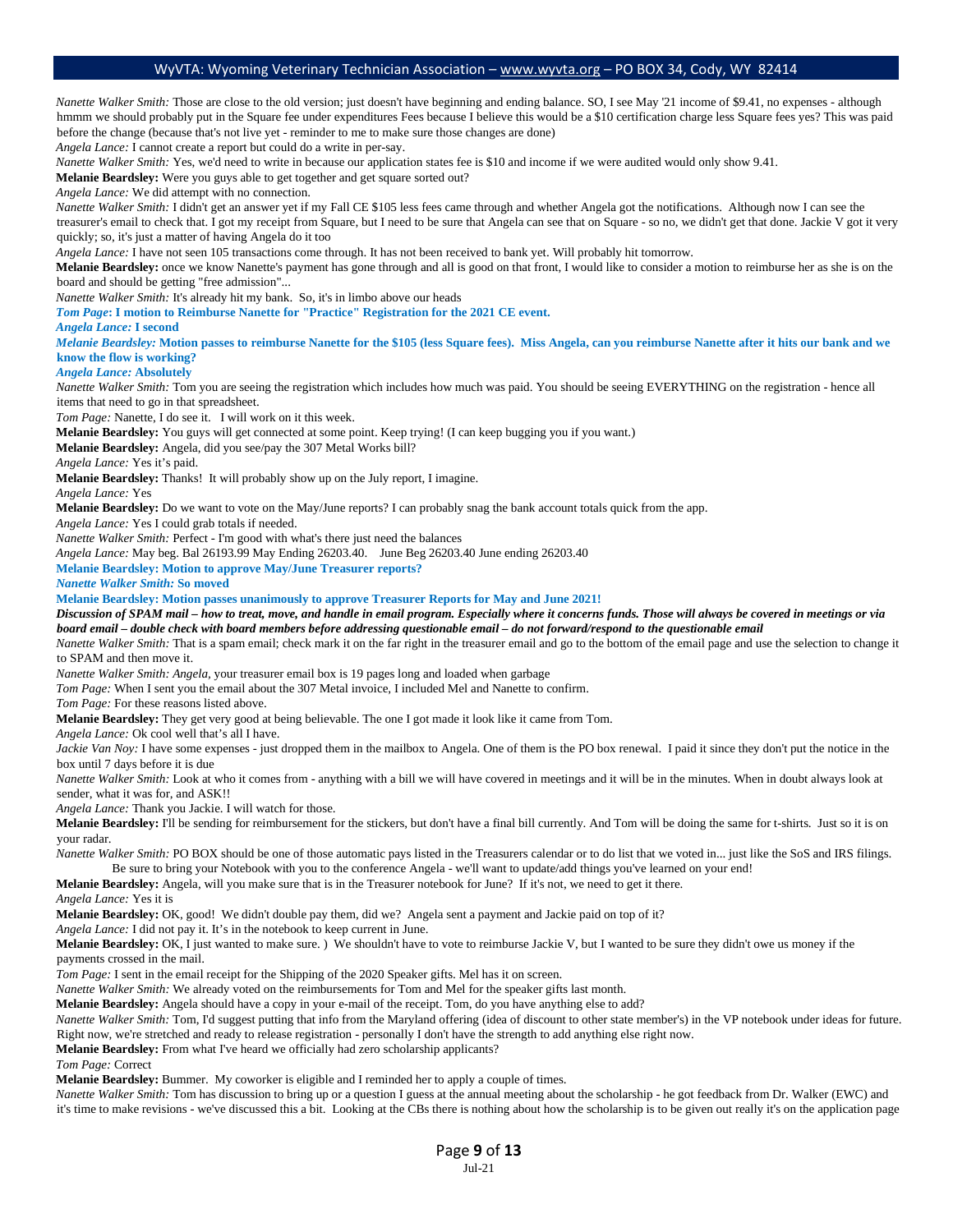*Nanette Walker Smith:* Those are close to the old version; just doesn't have beginning and ending balance. SO, I see May '21 income of \$9.41, no expenses - although hmmm we should probably put in the Square fee under expenditures Fees because I believe this would be a \$10 certification charge less Square fees yes? This was paid before the change (because that's not live yet - reminder to me to make sure those changes are done)

*Angela Lance:* I cannot create a report but could do a write in per-say.

*Nanette Walker Smith:* Yes, we'd need to write in because our application states fee is \$10 and income if we were audited would only show 9.41.

**Melanie Beardsley:** Were you guys able to get together and get square sorted out?

*Angela Lance:* We did attempt with no connection.

*Nanette Walker Smith:* I didn't get an answer yet if my Fall CE \$105 less fees came through and whether Angela got the notifications. Although now I can see the treasurer's email to check that. I got my receipt from Square, but I need to be sure that Angela can see that on Square - so no, we didn't get that done. Jackie V got it very quickly; so, it's just a matter of having Angela do it too

*Angela Lance:* I have not seen 105 transactions come through. It has not been received to bank yet. Will probably hit tomorrow.

Melanie Beardsley: once we know Nanette's payment has gone through and all is good on that front, I would like to consider a motion to reimburse her as she is on the board and should be getting "free admission"...

*Nanette Walker Smith:* It's already hit my bank. So, it's in limbo above our heads

*Tom Page***: I motion to Reimburse Nanette for "Practice" Registration for the 2021 CE event.**

*Angela Lance:* **I second**

*Melanie Beardsley:* **Motion passes to reimburse Nanette for the \$105 (less Square fees). Miss Angela, can you reimburse Nanette after it hits our bank and we know the flow is working?**

#### *Angela Lance:* **Absolutely**

*Nanette Walker Smith:* Tom you are seeing the registration which includes how much was paid. You should be seeing EVERYTHING on the registration - hence all items that need to go in that spreadsheet.

*Tom Page:* Nanette, I do see it. I will work on it this week.

**Melanie Beardsley:** You guys will get connected at some point. Keep trying! (I can keep bugging you if you want.)

**Melanie Beardsley:** Angela, did you see/pay the 307 Metal Works bill?

*Angela Lance:* Yes it's paid.

**Melanie Beardsley:** Thanks! It will probably show up on the July report, I imagine.

*Angela Lance:* Yes

**Melanie Beardsley:** Do we want to vote on the May/June reports? I can probably snag the bank account totals quick from the app.

*Angela Lance:* Yes I could grab totals if needed.

*Nanette Walker Smith:* Perfect - I'm good with what's there just need the balances

*Angela Lance:* May beg. Bal 26193.99 May Ending 26203.40. June Beg 26203.40 June ending 26203.40

#### **Melanie Beardsley: Motion to approve May/June Treasurer reports?**

*Nanette Walker Smith:* **So moved**

**Melanie Beardsley: Motion passes unanimously to approve Treasurer Reports for May and June 2021!** 

*Discussion of SPAM mail – how to treat, move, and handle in email program. Especially where it concerns funds. Those will always be covered in meetings or via board email – double check with board members before addressing questionable email – do not forward/respond to the questionable email* 

*Nanette Walker Smith:* That is a spam email; check mark it on the far right in the treasurer email and go to the bottom of the email page and use the selection to change it to SPAM and then move it.

*Nanette Walker Smith: Angela,* your treasurer email box is 19 pages long and loaded when garbage

*Tom Page:* When I sent you the email about the 307 Metal invoice, I included Mel and Nanette to confirm.

*Tom Page:* For these reasons listed above.

**Melanie Beardsley:** They get very good at being believable. The one I got made it look like it came from Tom.

*Angela Lance:* Ok cool well that's all I have.

*Jackie Van Noy:* I have some expenses - just dropped them in the mailbox to Angela. One of them is the PO box renewal. I paid it since they don't put the notice in the box until 7 days before it is due

*Nanette Walker Smith:* Look at who it comes from - anything with a bill we will have covered in meetings and it will be in the minutes. When in doubt always look at sender, what it was for, and ASK!!

*Angela Lance:* Thank you Jackie. I will watch for those.

**Melanie Beardsley:** I'll be sending for reimbursement for the stickers, but don't have a final bill currently. And Tom will be doing the same for t-shirts. Just so it is on your radar.

*Nanette Walker Smith:* PO BOX should be one of those automatic pays listed in the Treasurers calendar or to do list that we voted in... just like the SoS and IRS filings. Be sure to bring your Notebook with you to the conference Angela - we'll want to update/add things you've learned on your end!

**Melanie Beardsley:** Angela, will you make sure that is in the Treasurer notebook for June? If it's not, we need to get it there.

*Angela Lance:* Yes it is

**Melanie Beardsley:** OK, good! We didn't double pay them, did we? Angela sent a payment and Jackie paid on top of it?

*Angela Lance:* I did not pay it. It's in the notebook to keep current in June.

**Melanie Beardsley:** OK, I just wanted to make sure. ) We shouldn't have to vote to reimburse Jackie V, but I wanted to be sure they didn't owe us money if the payments crossed in the mail.

*Tom Page:* I sent in the email receipt for the Shipping of the 2020 Speaker gifts. Mel has it on screen.

*Nanette Walker Smith:* We already voted on the reimbursements for Tom and Mel for the speaker gifts last month.

**Melanie Beardsley:** Angela should have a copy in your e-mail of the receipt. Tom, do you have anything else to add?

*Nanette Walker Smith:* Tom, I'd suggest putting that info from the Maryland offering (idea of discount to other state member's) in the VP notebook under ideas for future. Right now, we're stretched and ready to release registration - personally I don't have the strength to add anything else right now.

**Melanie Beardsley:** From what I've heard we officially had zero scholarship applicants?

*Tom Page:* Correct

**Melanie Beardsley:** Bummer. My coworker is eligible and I reminded her to apply a couple of times.

*Nanette Walker Smith:* Tom has discussion to bring up or a question I guess at the annual meeting about the scholarship - he got feedback from Dr. Walker (EWC) and it's time to make revisions - we've discussed this a bit. Looking at the CBs there is nothing about how the scholarship is to be given out really it's on the application page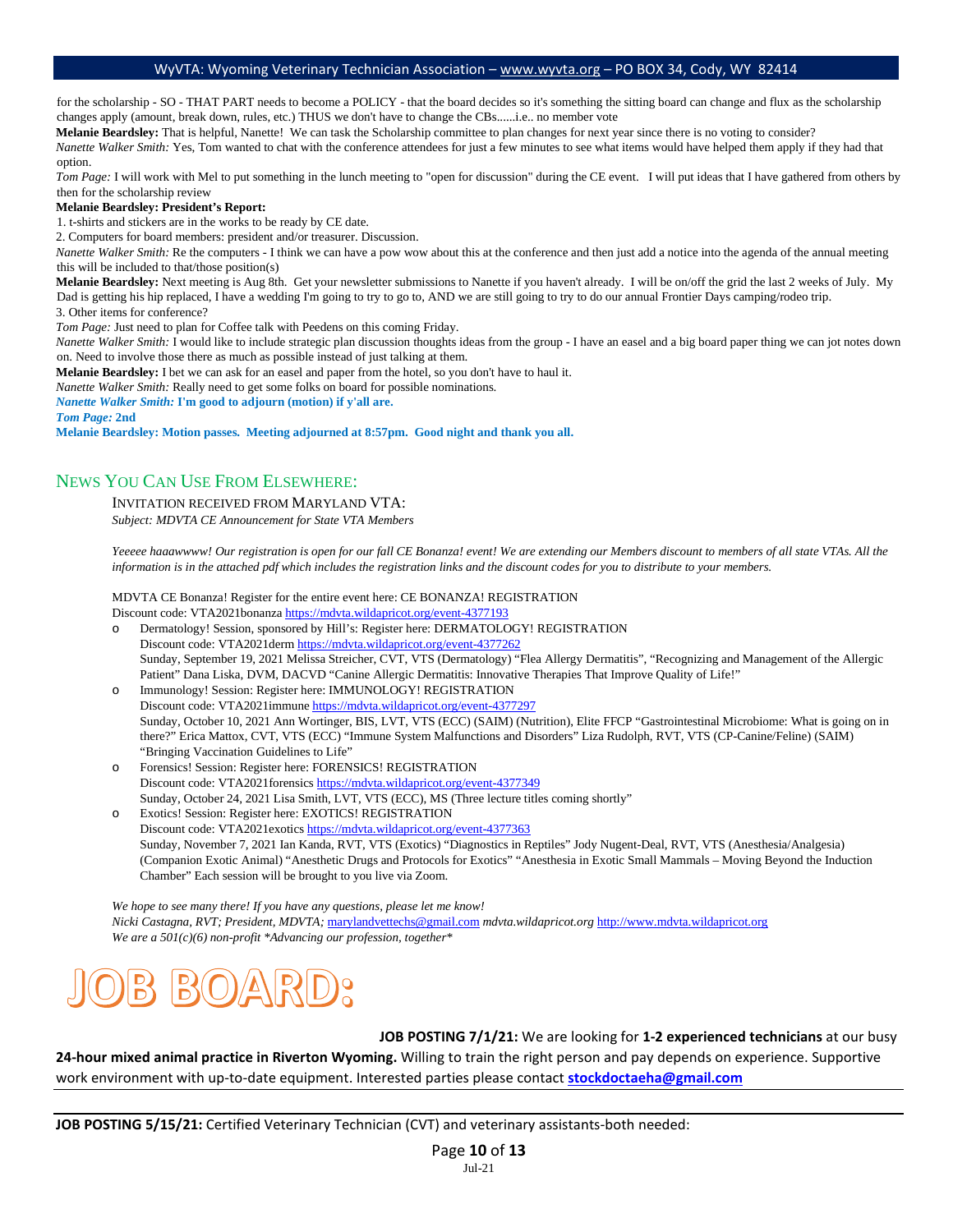for the scholarship - SO - THAT PART needs to become a POLICY - that the board decides so it's something the sitting board can change and flux as the scholarship changes apply (amount, break down, rules, etc.) THUS we don't have to change the CBs......i.e.. no member vote

**Melanie Beardsley:** That is helpful, Nanette! We can task the Scholarship committee to plan changes for next year since there is no voting to consider? *Nanette Walker Smith:* Yes, Tom wanted to chat with the conference attendees for just a few minutes to see what items would have helped them apply if they had that

option.

*Tom Page:* I will work with Mel to put something in the lunch meeting to "open for discussion" during the CE event. I will put ideas that I have gathered from others by then for the scholarship review

#### **Melanie Beardsley: President's Report:**

1. t-shirts and stickers are in the works to be ready by CE date.

2. Computers for board members: president and/or treasurer. Discussion.

*Nanette Walker Smith:* Re the computers - I think we can have a pow wow about this at the conference and then just add a notice into the agenda of the annual meeting this will be included to that/those position(s)

Melanie Beardsley: Next meeting is Aug 8th. Get your newsletter submissions to Nanette if you haven't already. I will be on/off the grid the last 2 weeks of July. My Dad is getting his hip replaced, I have a wedding I'm going to try to go to, AND we are still going to try to do our annual Frontier Days camping/rodeo trip.

3. Other items for conference?

*Tom Page:* Just need to plan for Coffee talk with Peedens on this coming Friday.

*Nanette Walker Smith:* I would like to include strategic plan discussion thoughts ideas from the group - I have an easel and a big board paper thing we can jot notes down on. Need to involve those there as much as possible instead of just talking at them.

**Melanie Beardsley:** I bet we can ask for an easel and paper from the hotel, so you don't have to haul it.

*Nanette Walker Smith:* Really need to get some folks on board for possible nominations.

*Nanette Walker Smith:* **I'm good to adjourn (motion) if y'all are.** 

*Tom Page:* **2nd**

**Melanie Beardsley: Motion passes. Meeting adjourned at 8:57pm. Good night and thank you all.** 

### NEWS YOU CAN USE FROM ELSEWHERE:

INVITATION RECEIVED FROM MARYLAND VTA:

*Subject: MDVTA CE Announcement for State VTA Members*

*Yeeeee haaawwww! Our registration is open for our fall CE Bonanza! event! We are extending our Members discount to members of all state VTAs. All the* information is in the attached pdf which includes the registration links and the discount codes for you to distribute to your members.

MDVTA CE Bonanza! Register for the entire event here: CE BONANZA! REGISTRATION Discount code: VTA2021bonanz[a https://mdvta.wildapricot.org/event-4377193](https://mdvta.wildapricot.org/event-4377193)

o Dermatology! Session, sponsored by Hill's: Register here: DERMATOLOGY! REGISTRATION Discount code: VTA2021der[m https://mdvta.wildapricot.org/event-4377262](https://mdvta.wildapricot.org/event-4377262) Sunday, September 19, 2021 Melissa Streicher, CVT, VTS (Dermatology) "Flea Allergy Dermatitis", "Recognizing and Management of the Allergic Patient" Dana Liska, DVM, DACVD "Canine Allergic Dermatitis: Innovative Therapies That Improve Quality of Life!"

o Immunology! Session: Register here: IMMUNOLOGY! REGISTRATION Discount code: VTA2021immune<https://mdvta.wildapricot.org/event-4377297> Sunday, October 10, 2021 Ann Wortinger, BIS, LVT, VTS (ECC) (SAIM) (Nutrition), Elite FFCP "Gastrointestinal Microbiome: What is going on in there?" Erica Mattox, CVT, VTS (ECC) "Immune System Malfunctions and Disorders" Liza Rudolph, RVT, VTS (CP-Canine/Feline) (SAIM) "Bringing Vaccination Guidelines to Life"

Forensics! Session: Register here: FORENSICS! REGISTRATION Discount code: VTA2021forensic[s https://mdvta.wildapricot.org/event-4377349](https://mdvta.wildapricot.org/event-4377349)  Sunday, October 24, 2021 Lisa Smith, LVT, VTS (ECC), MS (Three lecture titles coming shortly"

o Exotics! Session: Register here: EXOTICS! REGISTRATION Discount code: VTA2021exotic[s https://mdvta.wildapricot.org/event-4377363](https://mdvta.wildapricot.org/event-4377363)  Sunday, November 7, 2021 Ian Kanda, RVT, VTS (Exotics) "Diagnostics in Reptiles" Jody Nugent-Deal, RVT, VTS (Anesthesia/Analgesia) (Companion Exotic Animal) "Anesthetic Drugs and Protocols for Exotics" "Anesthesia in Exotic Small Mammals – Moving Beyond the Induction Chamber" Each session will be brought to you live via Zoom.

*We hope to see many there! If you have any questions, please let me know! Nicki Castagna, RVT; President, MDVTA;* [marylandvettechs@gmail.com](mailto:marylandvettechs@gmail.com) *mdvta.wildapricot.org* [http://www.mdvta.wildapricot.org](http://www.mdvta.wildapricot.org/) *We are a 501(c)(6) non-profit \*Advancing our profession, together\**



**JOB POSTING 7/1/21:** We are looking for **1-2 experienced technicians** at our busy

**24-hour mixed animal practice in Riverton Wyoming.** Willing to train the right person and pay depends on experience. Supportive work environment with up-to-date equipment. Interested parties please contact **[stockdoctaeha@gmail.com](mailto:stockdoctaeha@gmail.com)** 

**JOB POSTING 5/15/21:** Certified Veterinary Technician (CVT) and veterinary assistants-both needed: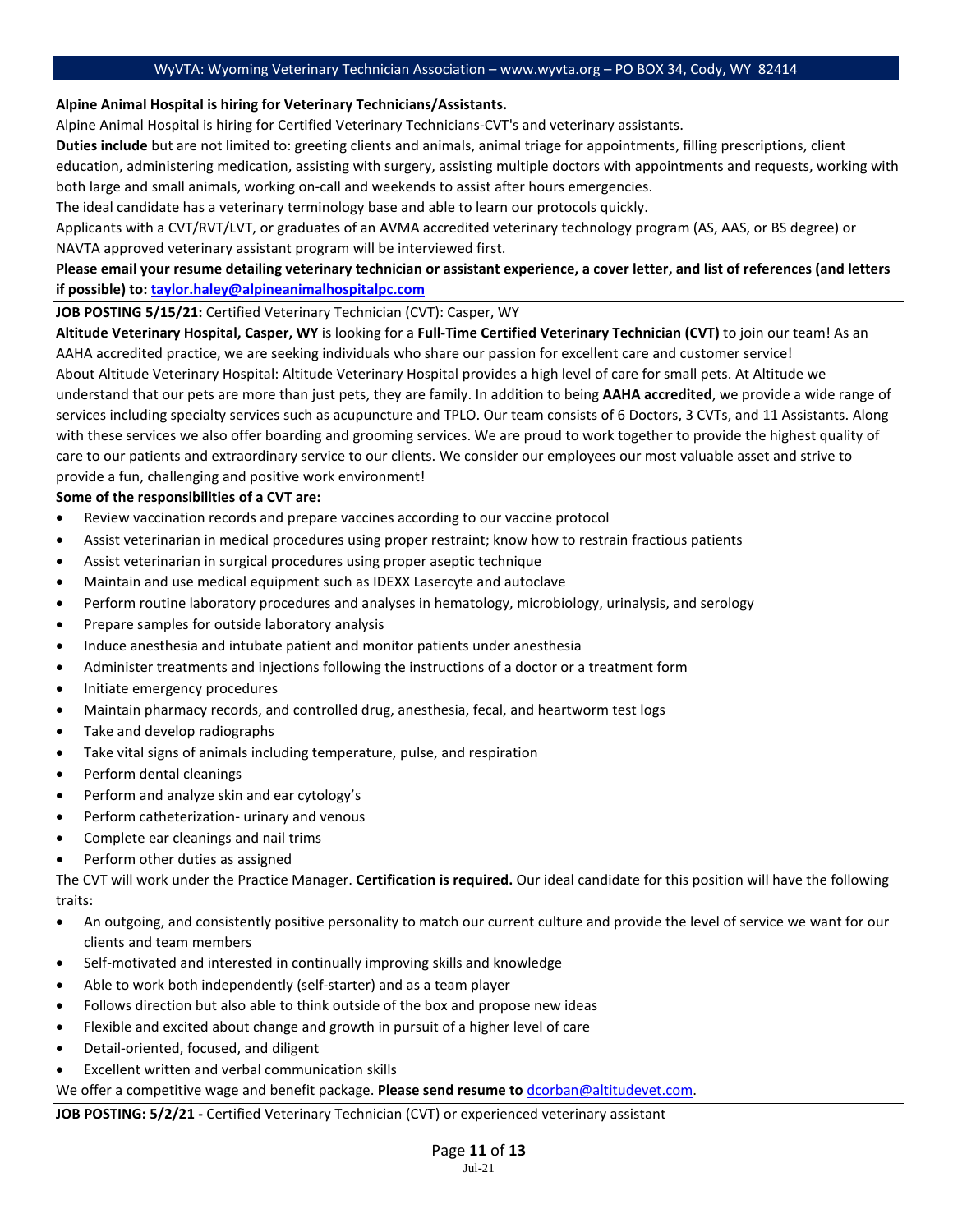#### **Alpine Animal Hospital is hiring for Veterinary Technicians/Assistants.**

Alpine Animal Hospital is hiring for Certified Veterinary Technicians-CVT's and veterinary assistants.

**Duties include** but are not limited to: greeting clients and animals, animal triage for appointments, filling prescriptions, client education, administering medication, assisting with surgery, assisting multiple doctors with appointments and requests, working with both large and small animals, working on-call and weekends to assist after hours emergencies.

The ideal candidate has a veterinary terminology base and able to learn our protocols quickly.

Applicants with a CVT/RVT/LVT, or graduates of an AVMA accredited veterinary technology program (AS, AAS, or BS degree) or NAVTA approved veterinary assistant program will be interviewed first.

### **Please email your resume detailing veterinary technician or assistant experience, a cover letter, and list of references (and letters if possible) to: [taylor.haley@alpineanimalhospitalpc.com](mailto:taylor.haley@alpineanimalhospitalpc.com)**

### **JOB POSTING 5/15/21:** Certified Veterinary Technician (CVT): Casper, WY

**Altitude Veterinary Hospital, Casper, WY** is looking for a **Full-Time Certified Veterinary Technician (CVT)** to join our team! As an AAHA accredited practice, we are seeking individuals who share our passion for excellent care and customer service! About Altitude Veterinary Hospital: Altitude Veterinary Hospital provides a high level of care for small pets. At Altitude we understand that our pets are more than just pets, they are family. In addition to being **AAHA accredited**, we provide a wide range of services including specialty services such as acupuncture and TPLO. Our team consists of 6 Doctors, 3 CVTs, and 11 Assistants. Along with these services we also offer boarding and grooming services. We are proud to work together to provide the highest quality of care to our patients and extraordinary service to our clients. We consider our employees our most valuable asset and strive to provide a fun, challenging and positive work environment!

### **Some of the responsibilities of a CVT are:**

- Review vaccination records and prepare vaccines according to our vaccine protocol
- Assist veterinarian in medical procedures using proper restraint; know how to restrain fractious patients
- Assist veterinarian in surgical procedures using proper aseptic technique
- Maintain and use medical equipment such as IDEXX Lasercyte and autoclave
- Perform routine laboratory procedures and analyses in hematology, microbiology, urinalysis, and serology
- Prepare samples for outside laboratory analysis
- Induce anesthesia and intubate patient and monitor patients under anesthesia
- Administer treatments and injections following the instructions of a doctor or a treatment form
- Initiate emergency procedures
- Maintain pharmacy records, and controlled drug, anesthesia, fecal, and heartworm test logs
- Take and develop radiographs
- Take vital signs of animals including temperature, pulse, and respiration
- Perform dental cleanings
- Perform and analyze skin and ear cytology's
- Perform catheterization- urinary and venous
- Complete ear cleanings and nail trims
- Perform other duties as assigned

The CVT will work under the Practice Manager. **Certification is required.** Our ideal candidate for this position will have the following traits:

- An outgoing, and consistently positive personality to match our current culture and provide the level of service we want for our clients and team members
- Self-motivated and interested in continually improving skills and knowledge
- Able to work both independently (self-starter) and as a team player
- Follows direction but also able to think outside of the box and propose new ideas
- Flexible and excited about change and growth in pursuit of a higher level of care
- Detail-oriented, focused, and diligent
- Excellent written and verbal communication skills

We offer a competitive wage and benefit package. **Please send resume to** [dcorban@altitudevet.com.](mailto:dcorban@altitudevet.com) 

**JOB POSTING: 5/2/21 -** Certified Veterinary Technician (CVT) or experienced veterinary assistant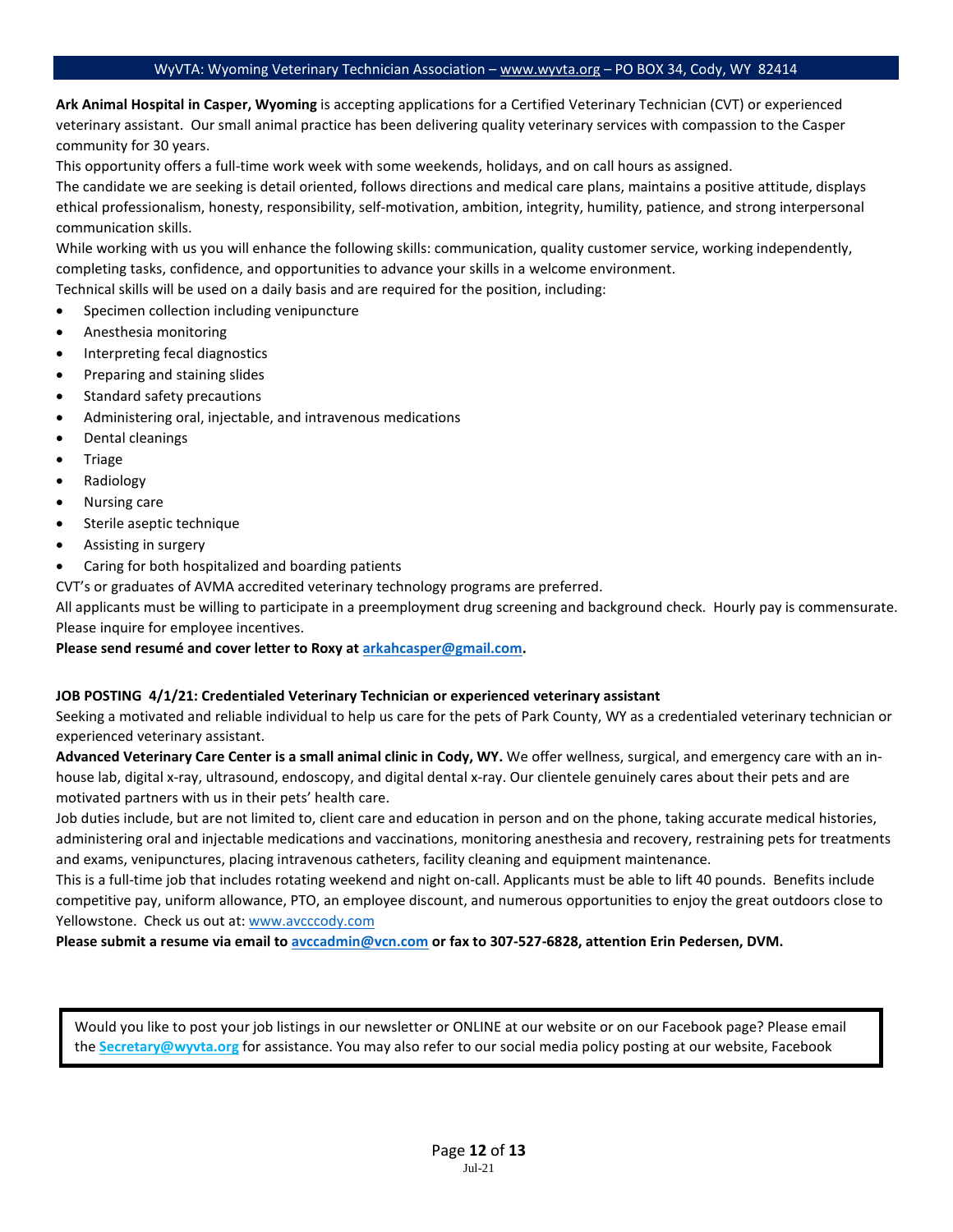**Ark Animal Hospital in Casper, Wyoming** is accepting applications for a Certified Veterinary Technician (CVT) or experienced veterinary assistant. Our small animal practice has been delivering quality veterinary services with compassion to the Casper community for 30 years.

This opportunity offers a full-time work week with some weekends, holidays, and on call hours as assigned.

The candidate we are seeking is detail oriented, follows directions and medical care plans, maintains a positive attitude, displays ethical professionalism, honesty, responsibility, self-motivation, ambition, integrity, humility, patience, and strong interpersonal communication skills.

While working with us you will enhance the following skills: communication, quality customer service, working independently, completing tasks, confidence, and opportunities to advance your skills in a welcome environment.

Technical skills will be used on a daily basis and are required for the position, including:

- Specimen collection including venipuncture
- Anesthesia monitoring
- Interpreting fecal diagnostics
- Preparing and staining slides
- Standard safety precautions
- Administering oral, injectable, and intravenous medications
- Dental cleanings
- **Triage**
- Radiology
- Nursing care
- Sterile aseptic technique
- Assisting in surgery
- Caring for both hospitalized and boarding patients

CVT's or graduates of AVMA accredited veterinary technology programs are preferred.

All applicants must be willing to participate in a preemployment drug screening and background check. Hourly pay is commensurate. Please inquire for employee incentives.

**Please send resumé and cover letter to Roxy at [arkahcasper@gmail.com.](mailto:arkahcasper@gmail.com)** 

#### **JOB POSTING 4/1/21: Credentialed Veterinary Technician or experienced veterinary assistant**

Seeking a motivated and reliable individual to help us care for the pets of Park County, WY as a credentialed veterinary technician or experienced veterinary assistant.

**Advanced Veterinary Care Center is a small animal clinic in Cody, WY.** We offer wellness, surgical, and emergency care with an inhouse lab, digital x-ray, ultrasound, endoscopy, and digital dental x-ray. Our clientele genuinely cares about their pets and are motivated partners with us in their pets' health care.

Job duties include, but are not limited to, client care and education in person and on the phone, taking accurate medical histories, administering oral and injectable medications and vaccinations, monitoring anesthesia and recovery, restraining pets for treatments and exams, venipunctures, placing intravenous catheters, facility cleaning and equipment maintenance.

This is a full-time job that includes rotating weekend and night on-call. Applicants must be able to lift 40 pounds. Benefits include competitive pay, uniform allowance, PTO, an employee discount, and numerous opportunities to enjoy the great outdoors close to Yellowstone. Check us out at: [www.avcccody.com](http://www.avcccody.com/) 

**Please submit a resume via email t[o avccadmin@vcn.com](mailto:avccadmin@vcn.com) or fax to 307-527-6828, attention Erin Pedersen, DVM.**

Would you like to post your job listings in our newsletter or ONLINE at our website or on our Facebook page? Please email the **Secretary@wyvta.org** for assistance. You may also refer to our social media policy posting at our website, Facebook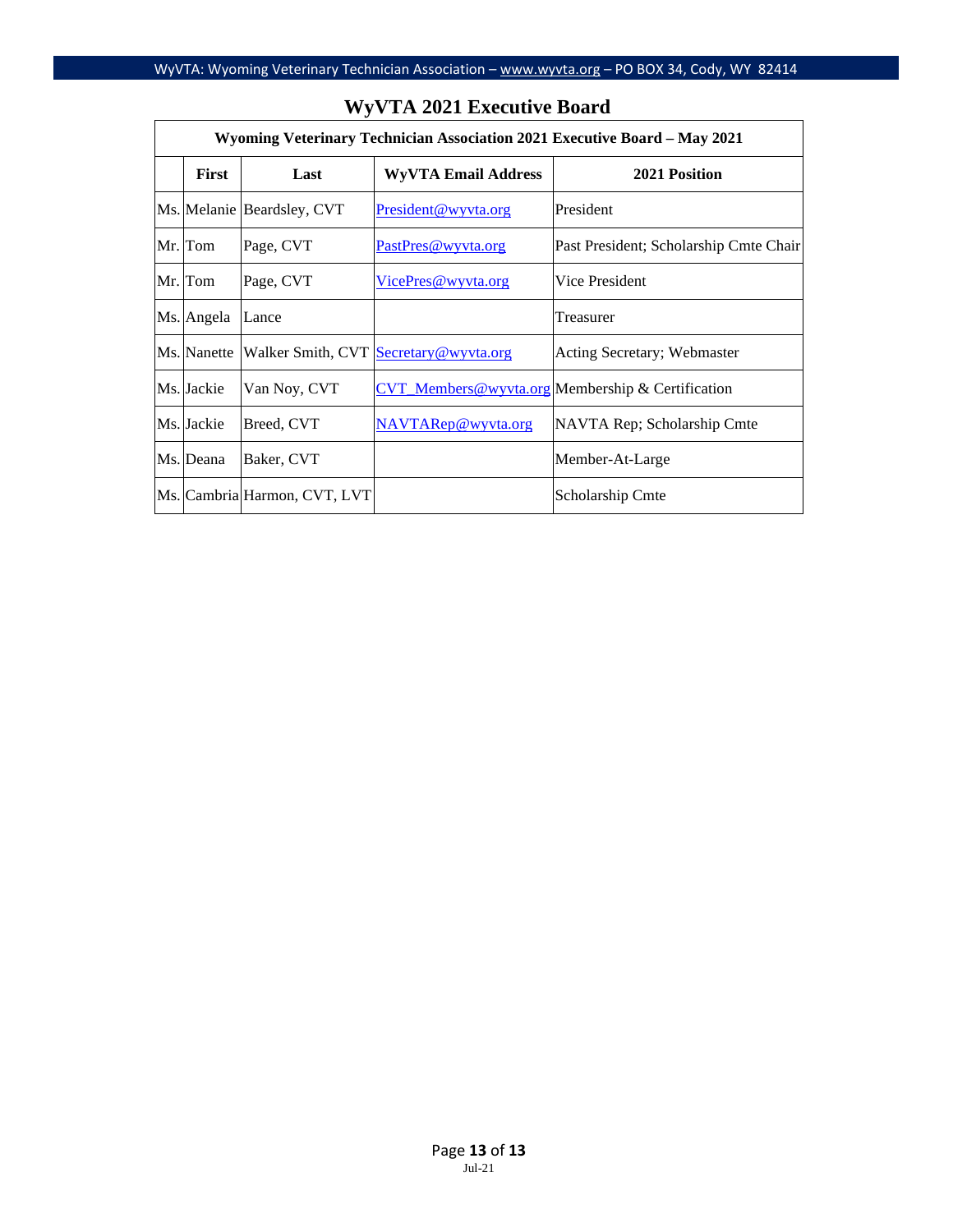| Wyoming Veterinary Technician Association 2021 Executive Board - May 2021 |                              |                                       |                                                  |  |  |  |  |  |
|---------------------------------------------------------------------------|------------------------------|---------------------------------------|--------------------------------------------------|--|--|--|--|--|
| <b>First</b>                                                              | Last                         | <b>WyVTA Email Address</b>            | 2021 Position                                    |  |  |  |  |  |
|                                                                           | Ms. Melanie Beardsley, CVT   | President@wyvta.org                   | President                                        |  |  |  |  |  |
| Mr. Tom                                                                   | Page, CVT                    | PastPres@wyyta.org                    | Past President; Scholarship Cmte Chair           |  |  |  |  |  |
| Mr. Tom                                                                   | Page, CVT                    | VicePres@wyyta.org                    | Vice President                                   |  |  |  |  |  |
| Ms. Angela                                                                | Lance                        |                                       | Treasurer                                        |  |  |  |  |  |
| Ms. Nanette                                                               |                              | Walker Smith, CVT Secretary@wyvta.org | Acting Secretary; Webmaster                      |  |  |  |  |  |
| Ms. Jackie                                                                | Van Noy, CVT                 |                                       | CVT Members@wyvta.org Membership & Certification |  |  |  |  |  |
| Ms. Jackie                                                                | Breed, CVT                   | NAVTARep@wyyta.org                    | NAVTA Rep; Scholarship Cmte                      |  |  |  |  |  |
| Ms. Deana                                                                 | Baker, CVT                   |                                       | Member-At-Large                                  |  |  |  |  |  |
|                                                                           | Ms. Cambria Harmon, CVT, LVT |                                       | Scholarship Cmte                                 |  |  |  |  |  |

## **WyVTA 2021 Executive Board**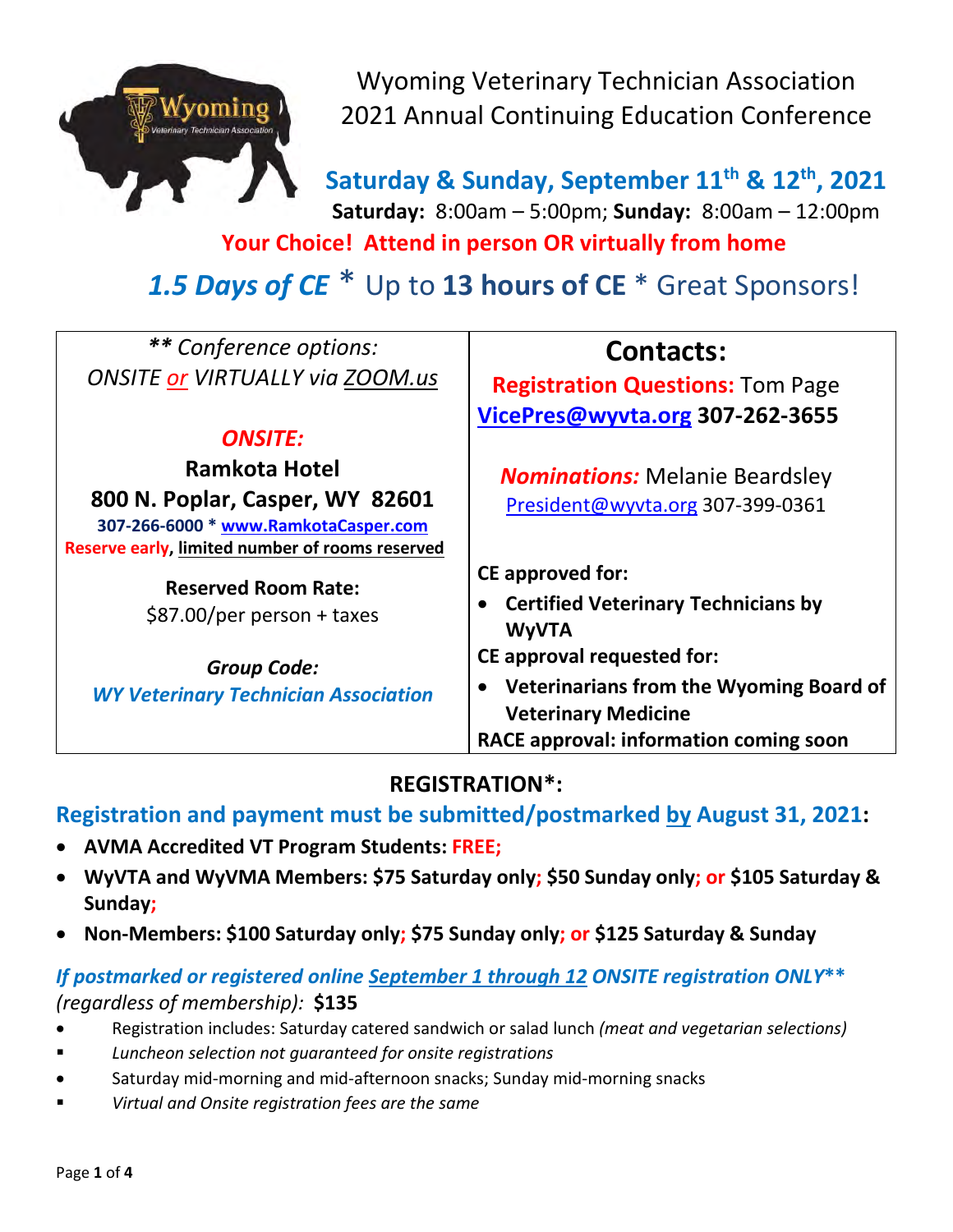

Wyoming Veterinary Technician Association 2021 Annual Continuing Education Conference

**Saturday & Sunday, September 11th & 12th, 2021 Saturday:** 8:00am – 5:00pm; **Sunday:** 8:00am – 12:00pm

**Your Choice! Attend in person OR virtually from home**

*1.5 Days of CE* \* Up to **13 hours of CE** \* Great Sponsors!

| ** Conference options:                          |                                                      |  |  |
|-------------------------------------------------|------------------------------------------------------|--|--|
|                                                 | <b>Contacts:</b>                                     |  |  |
| <b>ONSITE or VIRTUALLY via ZOOM.us</b>          | <b>Registration Questions: Tom Page</b>              |  |  |
|                                                 | VicePres@wyvta.org 307-262-3655                      |  |  |
| <b>ONSITE:</b>                                  |                                                      |  |  |
| <b>Ramkota Hotel</b>                            | <b>Nominations:</b> Melanie Beardsley                |  |  |
| 800 N. Poplar, Casper, WY 82601                 | President@wyvta.org 307-399-0361                     |  |  |
| 307-266-6000 * www.RamkotaCasper.com            |                                                      |  |  |
| Reserve early, limited number of rooms reserved |                                                      |  |  |
| <b>Reserved Room Rate:</b>                      | <b>CE approved for:</b>                              |  |  |
|                                                 | <b>Certified Veterinary Technicians by</b>           |  |  |
| \$87.00/per person + taxes                      | <b>WyVTA</b>                                         |  |  |
| <b>Group Code:</b>                              | <b>CE approval requested for:</b>                    |  |  |
|                                                 | Veterinarians from the Wyoming Board of<br>$\bullet$ |  |  |
| <b>WY Veterinary Technician Association</b>     | <b>Veterinary Medicine</b>                           |  |  |
|                                                 | RACE approval: information coming soon               |  |  |

# **REGISTRATION\*:**

# **Registration and payment must be submitted/postmarked by August 31, 2021:**

- **AVMA Accredited VT Program Students: FREE;**
- **WyVTA and WyVMA Members: \$75 Saturday only; \$50 Sunday only; or \$105 Saturday & Sunday;**
- **Non-Members: \$100 Saturday only; \$75 Sunday only; or \$125 Saturday & Sunday**

# *If postmarked or registered online September 1 through 12 ONSITE registration ONLY***\*\***  *(regardless of membership):* **\$135**

- Registration includes: Saturday catered sandwich or salad lunch *(meat and vegetarian selections)*
- *Luncheon selection not guaranteed for onsite registrations*
- Saturday mid-morning and mid-afternoon snacks; Sunday mid-morning snacks
- *Virtual and Onsite registration fees are the same*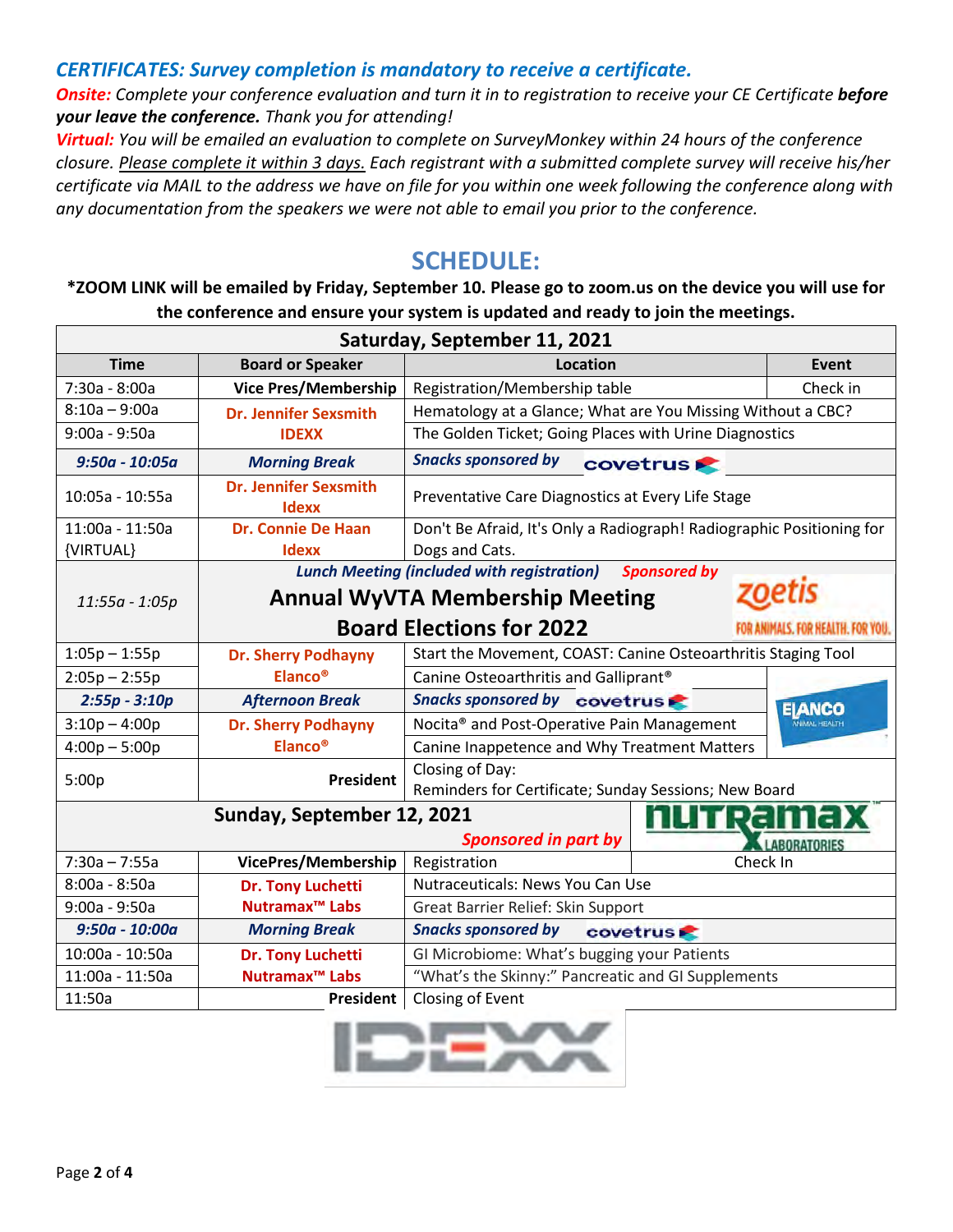## *CERTIFICATES: Survey completion is mandatory to receive a certificate.*

**Onsite:** Complete your conference evaluation and turn it in to registration to receive your CE Certificate **before** *your leave the conference. Thank you for attending!*

*Virtual: You will be emailed an evaluation to complete on SurveyMonkey within 24 hours of the conference closure. Please complete it within 3 days. Each registrant with a submitted complete survey will receive his/her certificate via MAIL to the address we have on file for you within one week following the conference along with any documentation from the speakers we were not able to email you prior to the conference.* 

# **SCHEDULE:**

## **\*ZOOM LINK will be emailed by Friday, September 10. Please go to zoom.us on the device you will use for the conference and ensure your system is updated and ready to join the meetings.**

| Saturday, September 11, 2021         |                                                        |                                                                          |                |                      |  |  |
|--------------------------------------|--------------------------------------------------------|--------------------------------------------------------------------------|----------------|----------------------|--|--|
| <b>Time</b>                          | <b>Board or Speaker</b>                                | Location                                                                 |                | Event                |  |  |
| 7:30a - 8:00a                        | <b>Vice Pres/Membership</b>                            | Registration/Membership table                                            |                | Check in             |  |  |
| $8:10a - 9:00a$                      | <b>Dr. Jennifer Sexsmith</b>                           | Hematology at a Glance; What are You Missing Without a CBC?              |                |                      |  |  |
| $9:00a - 9:50a$                      | <b>IDEXX</b>                                           | The Golden Ticket; Going Places with Urine Diagnostics                   |                |                      |  |  |
| $9:50a - 10:05a$                     | <b>Morning Break</b>                                   | <b>Snacks sponsored by</b><br><b>covetrus</b>                            |                |                      |  |  |
| 10:05a - 10:55a                      | <b>Dr. Jennifer Sexsmith</b><br><b>Idexx</b>           | Preventative Care Diagnostics at Every Life Stage                        |                |                      |  |  |
| 11:00a - 11:50a                      | <b>Dr. Connie De Haan</b>                              | Don't Be Afraid, It's Only a Radiograph! Radiographic Positioning for    |                |                      |  |  |
| {VIRTUAL}<br><b>Idexx</b>            |                                                        | Dogs and Cats.                                                           |                |                      |  |  |
|                                      |                                                        | <b>Lunch Meeting (included with registration)</b><br><b>Sponsored by</b> |                |                      |  |  |
| $11:55a - 1:05p$                     | <b>Annual WyVTA Membership Meeting</b>                 |                                                                          |                |                      |  |  |
|                                      |                                                        | <b>Board Elections for 2022</b>                                          |                | FOR HEALTH, FOR YOU. |  |  |
| $1:05p - 1:55p$                      | <b>Dr. Sherry Podhayny</b>                             | Start the Movement, COAST: Canine Osteoarthritis Staging Tool            |                |                      |  |  |
| $2:05p - 2:55p$                      | <b>Elanco®</b>                                         | Canine Osteoarthritis and Galliprant®                                    |                |                      |  |  |
| $2:55p - 3:10p$                      | Snacks sponsored by covetrus<br><b>Afternoon Break</b> |                                                                          | <b>ELANCO</b>  |                      |  |  |
| $3:10p - 4:00p$                      | <b>Dr. Sherry Podhayny</b>                             | MIMAL HEALTH<br>Nocita <sup>®</sup> and Post-Operative Pain Management   |                |                      |  |  |
| $4:00p - 5:00p$                      | <b>Elanco®</b>                                         | Canine Inappetence and Why Treatment Matters                             |                |                      |  |  |
| 5:00p                                | President                                              | Closing of Day:                                                          |                |                      |  |  |
|                                      |                                                        | Reminders for Certificate; Sunday Sessions; New Board                    |                |                      |  |  |
|                                      | Sunday, September 12, 2021                             |                                                                          | <u>hu rama</u> |                      |  |  |
|                                      |                                                        | <b>Sponsored in part by</b>                                              |                | LABORATORIES         |  |  |
| $7:30a - 7:55a$                      | VicePres/Membership                                    | Registration                                                             | Check In       |                      |  |  |
| $8:00a - 8:50a$                      | <b>Dr. Tony Luchetti</b>                               | Nutraceuticals: News You Can Use                                         |                |                      |  |  |
| $9:00a - 9:50a$                      | Nutramax <sup>™</sup> Labs                             | Great Barrier Relief: Skin Support                                       |                |                      |  |  |
| $9:50a - 10:00a$                     | Snacks sponsored by covetrus<br><b>Morning Break</b>   |                                                                          |                |                      |  |  |
| 10:00a - 10:50a<br>Dr. Tony Luchetti |                                                        | GI Microbiome: What's bugging your Patients                              |                |                      |  |  |
| 11:00a - 11:50a                      | Nutramax <sup>™</sup> Labs                             | "What's the Skinny:" Pancreatic and GI Supplements                       |                |                      |  |  |
| 11:50a                               | <b>President</b>                                       | Closing of Event                                                         |                |                      |  |  |

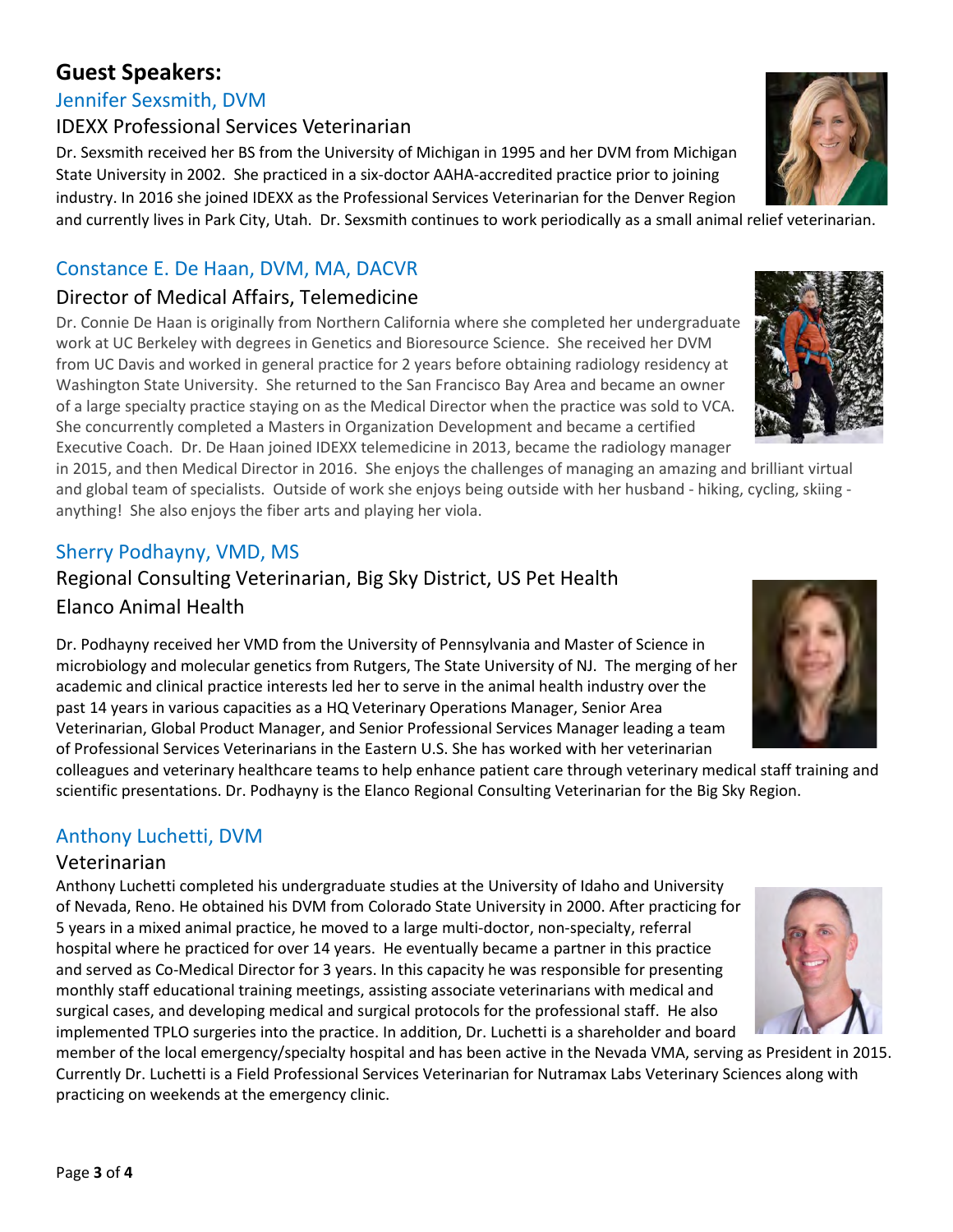# **Guest Speakers:**

## Jennifer Sexsmith, DVM

## IDEXX Professional Services Veterinarian

Dr. Sexsmith received her BS from the University of Michigan in 1995 and her DVM from Michigan State University in 2002. She practiced in a six-doctor AAHA-accredited practice prior to joining industry. In 2016 she joined IDEXX as the Professional Services Veterinarian for the Denver Region and currently lives in Park City, Utah. Dr. Sexsmith continues to work periodically as a small animal relief veterinarian.

## Constance E. De Haan, DVM, MA, DACVR

## Director of Medical Affairs, Telemedicine

Dr. Connie De Haan is originally from Northern California where she completed her undergraduate work at UC Berkeley with degrees in Genetics and Bioresource Science. She received her DVM from UC Davis and worked in general practice for 2 years before obtaining radiology residency at Washington State University. She returned to the San Francisco Bay Area and became an owner of a large specialty practice staying on as the Medical Director when the practice was sold to VCA. She concurrently completed a Masters in Organization Development and became a certified Executive Coach. Dr. De Haan joined IDEXX telemedicine in 2013, became the radiology manager

in 2015, and then Medical Director in 2016. She enjoys the challenges of managing an amazing and brilliant virtual and global team of specialists. Outside of work she enjoys being outside with her husband - hiking, cycling, skiing anything! She also enjoys the fiber arts and playing her viola.

## Sherry Podhayny, VMD, MS

## Regional Consulting Veterinarian, Big Sky District, US Pet Health Elanco Animal Health

Dr. Podhayny received her VMD from the University of Pennsylvania and Master of Science in microbiology and molecular genetics from Rutgers, The State University of NJ. The merging of her academic and clinical practice interests led her to serve in the animal health industry over the past 14 years in various capacities as a HQ Veterinary Operations Manager, Senior Area Veterinarian, Global Product Manager, and Senior Professional Services Manager leading a team of Professional Services Veterinarians in the Eastern U.S. She has worked with her veterinarian

colleagues and veterinary healthcare teams to help enhance patient care through veterinary medical staff training and scientific presentations. Dr. Podhayny is the Elanco Regional Consulting Veterinarian for the Big Sky Region.

## Anthony Luchetti, DVM

## Veterinarian

Anthony Luchetti completed his undergraduate studies at the University of Idaho and University of Nevada, Reno. He obtained his DVM from Colorado State University in 2000. After practicing for 5 years in a mixed animal practice, he moved to a large multi-doctor, non-specialty, referral hospital where he practiced for over 14 years. He eventually became a partner in this practice and served as Co-Medical Director for 3 years. In this capacity he was responsible for presenting monthly staff educational training meetings, assisting associate veterinarians with medical and surgical cases, and developing medical and surgical protocols for the professional staff. He also implemented TPLO surgeries into the practice. In addition, Dr. Luchetti is a shareholder and board

member of the local emergency/specialty hospital and has been active in the Nevada VMA, serving as President in 2015. Currently Dr. Luchetti is a Field Professional Services Veterinarian for Nutramax Labs Veterinary Sciences along with practicing on weekends at the emergency clinic.